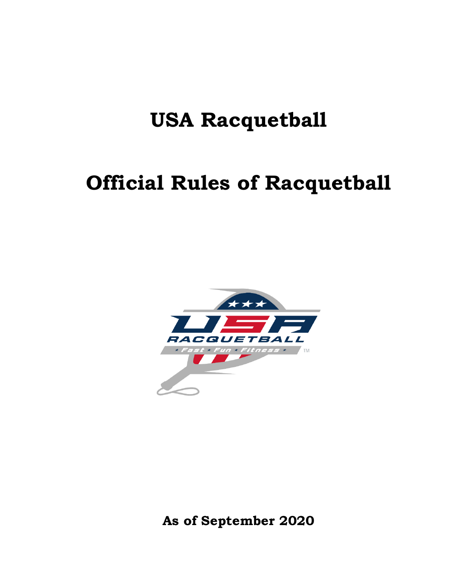# **USA Racquetball**

# **Official Rules of Racquetball**



**As of September 2020**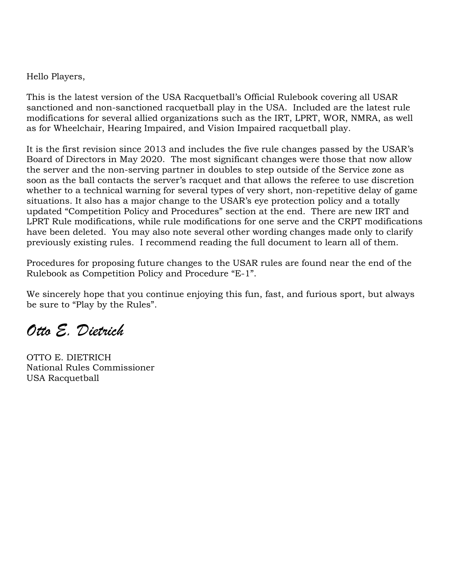Hello Players,

This is the latest version of the USA Racquetball's Official Rulebook covering all USAR sanctioned and non-sanctioned racquetball play in the USA. Included are the latest rule modifications for several allied organizations such as the IRT, LPRT, WOR, NMRA, as well as for Wheelchair, Hearing Impaired, and Vision Impaired racquetball play.

It is the first revision since 2013 and includes the five rule changes passed by the USAR's Board of Directors in May 2020. The most significant changes were those that now allow the server and the non-serving partner in doubles to step outside of the Service zone as soon as the ball contacts the server's racquet and that allows the referee to use discretion whether to a technical warning for several types of very short, non-repetitive delay of game situations. It also has a major change to the USAR's eye protection policy and a totally updated "Competition Policy and Procedures" section at the end. There are new IRT and LPRT Rule modifications, while rule modifications for one serve and the CRPT modifications have been deleted. You may also note several other wording changes made only to clarify previously existing rules. I recommend reading the full document to learn all of them.

Procedures for proposing future changes to the USAR rules are found near the end of the Rulebook as Competition Policy and Procedure "E-1".

We sincerely hope that you continue enjoying this fun, fast, and furious sport, but always be sure to "Play by the Rules".

*Otto E. Dietrich*

OTTO E. DIETRICH National Rules Commissioner USA Racquetball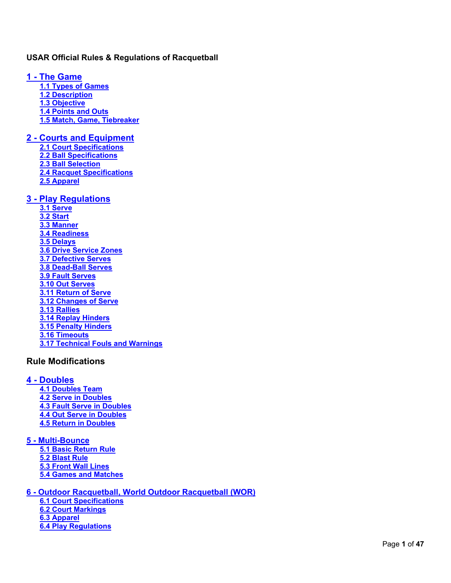### <span id="page-2-0"></span>**USAR Official Rules & Regulations of Racquetball**

<span id="page-2-3"></span><span id="page-2-2"></span><span id="page-2-1"></span>**1 - [The Game](#page-5-0) [1.1 Types of Games](#page-5-1) [1.2 Description](#page-5-2) [1.3 Objective](#page-5-3) [1.4 Points and Outs](#page-5-4) [1.5 Match, Game, Tiebreaker](#page-5-5)**

### <span id="page-2-7"></span><span id="page-2-6"></span><span id="page-2-5"></span><span id="page-2-4"></span>**2 - [Courts and Equipment](#page-6-0)**

<span id="page-2-9"></span><span id="page-2-8"></span>**[2.1 Court Specifications](#page-6-1) [2.2 Ball Specifications](#page-7-0) [2.3 Ball Selection](#page-8-0) [2.4 Racquet Specifications](#page-8-1) [2.5 Apparel](#page-8-2)**

#### <span id="page-2-13"></span><span id="page-2-12"></span><span id="page-2-11"></span><span id="page-2-10"></span>**3 - [Play Regulations](#page-9-0)**

<span id="page-2-21"></span><span id="page-2-20"></span><span id="page-2-19"></span><span id="page-2-18"></span><span id="page-2-17"></span><span id="page-2-16"></span><span id="page-2-15"></span><span id="page-2-14"></span>**[3.1 Serve](#page-10-0) [3.2 Start](#page-10-1) [3.3 Manner](#page-10-2) [3.4 Readiness](#page-10-3) [3.5 Delays](#page-10-4) [3.6 Drive Service Zones](#page-11-0) [3.7 Defective Serves](#page-11-1) [3.8 Dead-Ball Serves](#page-11-2) [3.9 Fault Serves](#page-11-3) [3.10 Out Serves](#page-12-0) [3.11 Return of Serve](#page-13-0) [3.12 Changes of Serve](#page-13-1) [3.13 Rallies](#page-14-0) [3.14 Replay Hinders](#page-15-0) [3.15 Penalty Hinders](#page-16-0) [3.16 Timeouts](#page-17-0) [3.17 Technical Fouls and Warnings](#page-18-0)**

### <span id="page-2-29"></span><span id="page-2-28"></span><span id="page-2-27"></span><span id="page-2-26"></span><span id="page-2-25"></span><span id="page-2-24"></span><span id="page-2-23"></span><span id="page-2-22"></span>**Rule Modifications**

### <span id="page-2-31"></span><span id="page-2-30"></span>**4 - [Doubles](#page-20-0)**

<span id="page-2-33"></span><span id="page-2-32"></span>**[4.1 Doubles Team](#page-20-1) [4.2 Serve in Doubles](#page-20-2) [4.3 Fault Serve in Doubles](#page-20-3) [4.4 Out Serve in Doubles](#page-20-4) [4.5 Return in Doubles](#page-20-5)**

#### <span id="page-2-37"></span><span id="page-2-36"></span><span id="page-2-35"></span><span id="page-2-34"></span>**5 - [Multi-Bounce](#page-21-0) [5.1 Basic Return Rule](#page-22-0)**

<span id="page-2-39"></span><span id="page-2-38"></span>**[5.2 Blast Rule](#page-22-1) [5.3 Front Wall Lines](#page-22-2) [5.4 Games and Matches](#page-22-3)**

### <span id="page-2-40"></span>**6 - [Outdoor Racquetball, World Outdoor Racquetball \(WOR\)](#page-22-4)**

**6.1 Court Specifications 6.2 Court Markings 6.3 Apparel 6.4 Play Regulations**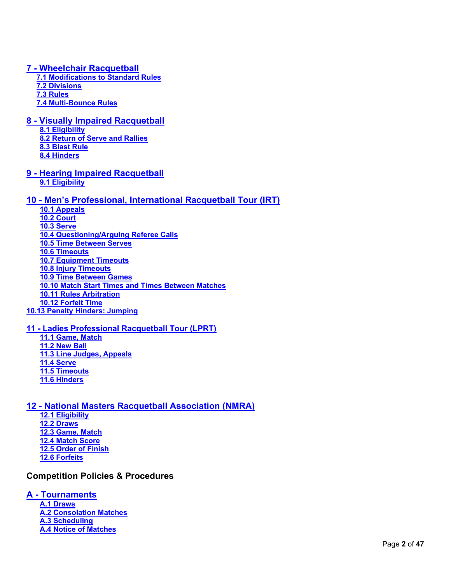### <span id="page-3-1"></span><span id="page-3-0"></span>**7 - [Wheelchair Racquetball](#page-24-0)**

<span id="page-3-3"></span><span id="page-3-2"></span>**7.1 Modifications [to Standard Rules](#page-24-1) [7.2 Divisions](#page-24-2) [7.3 Rules](#page-24-3) [7.4 Multi-Bounce Rules](#page-25-0)**

### <span id="page-3-6"></span><span id="page-3-5"></span><span id="page-3-4"></span>**8 - [Visually Impaired Racquetball](#page-25-1)**

- <span id="page-3-7"></span>**[8.1 Eligibility](#page-26-0) [8.2 Return of Serve and Rallies](#page-26-1) [8.3 Blast Rule](#page-26-2)**
- <span id="page-3-9"></span><span id="page-3-8"></span>**[8.4 Hinders](#page-26-3)**
- <span id="page-3-11"></span><span id="page-3-10"></span>**9 - [Hearing Impaired](#page-26-4) Racquetball [9.1 Eligibility](#page-27-0)**

### **10 - [Men's Professional, International Racquetball Tour \(IRT\)](#page-28-0)**

**10.1 Appeals 10.2 Court 10.3 Serve 10.4 Questioning/Arguing Referee Calls 10.5 Time Between Serves 10.6 Timeouts 10.7 Equipment Timeouts 10.8 Injury Timeouts 10.9 Time Between Games 10.10 Match Start Times and Times Between Matches 10.11 Rules Arbitration 10.12 Forfeit Time 10.13 Penalty Hinders: Jumping**

### <span id="page-3-13"></span><span id="page-3-12"></span>**11 - [Ladies Professional Racquetball Tour \(LPRT\)](#page-30-0)**

<span id="page-3-16"></span><span id="page-3-15"></span><span id="page-3-14"></span>**[11.1 Game, Match](#page-30-1) [11.2 New Ball](#page-30-2) [11.3 Line Judges, Appeals](#page-30-3) [11.4 Serve](#page-30-4) [11.5 Timeouts](#page-30-5) [11.6 Hinders](#page-30-6)**

### <span id="page-3-20"></span><span id="page-3-19"></span><span id="page-3-18"></span><span id="page-3-17"></span>**12 - [National Masters Racquetball Association \(NMRA\)](#page-30-7)**

<span id="page-3-23"></span><span id="page-3-22"></span><span id="page-3-21"></span>**[12.1 Eligibility](#page-31-0) [12.2 Draws](#page-31-1) [12.3 Game, Match](#page-31-2) [12.4 Match Score](#page-31-3) [12.5 Order of Finish](#page-31-4) [12.6 Forfeits](#page-31-5)**

### <span id="page-3-25"></span><span id="page-3-24"></span>**Competition Policies & Procedures**

### **A - [Tournaments](#page-32-0)**

**[A.1 Draws](#page-32-1) [A.2 Consolation Matches](#page-32-2) [A.3 Scheduling](#page-32-3) [A.4 Notice of Matches](#page-32-4)**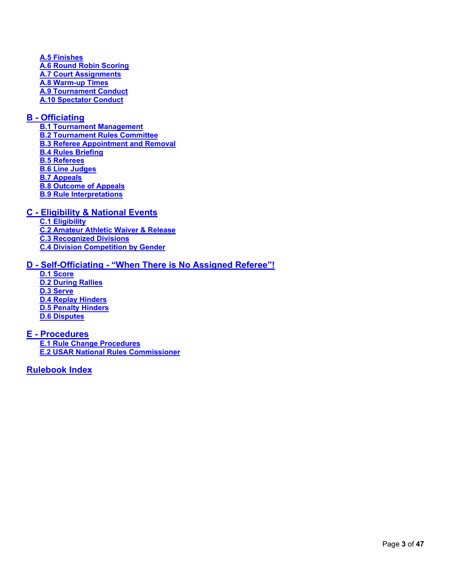**[A.5 Finishes](#page-33-0) [A.6 Round Robin Scoring](#page-33-1) [A.7 Court Assignments](#page-34-0) [A.8 Warm-up Times](#page-34-1) [A.9 Tournament Conduct](#page-34-2) [A.10 Spectator Conduct](#page-34-3)**

### **B - [Officiating](#page-34-4)**

**[B.1 Tournament Management](#page-34-5) [B.2 Tournament Rules Committee](#page-34-6) [B.3 Referee Appointment and Removal](#page-34-7) [B.4 Rules Briefing](#page-35-0) [B.5 Referees](#page-35-1) [B.6 Line Judges](#page-36-0) [B.7 Appeals](#page-38-0) [B.8 Outcome of Appeals](#page-38-1) [B.9 Rule Interpretations](#page-39-0)**

### **C - [Eligibility & National Events](#page-39-1)**

**[C.1 Eligibility](#page-39-2) [C.2 Amateur Athletic Waiver & Release](#page-39-3) [C.3 Recognized Divisions](#page-40-0) [C.4 Division Competition by Gender](#page-40-1)**

### **D - Self-Officiating - ["When There is No Assigned Referee"!](#page-41-0)**

**[D.1 Score](#page-41-1) [D.2 During Rallies](#page-41-2) [D.3 Serve](#page-41-3) [D.4 Replay Hinders](#page-41-4) [D.5 Penalty Hinders](#page-41-5) [D.6 Disputes](#page-42-0)**

#### **E - [Procedures](#page-42-1) [E.1 Rule Change Procedures](#page-42-2) [E.2 USAR National Rules Commissioner](#page-43-0)**

### <span id="page-4-0"></span>**[Rulebook Index](#page-44-0)**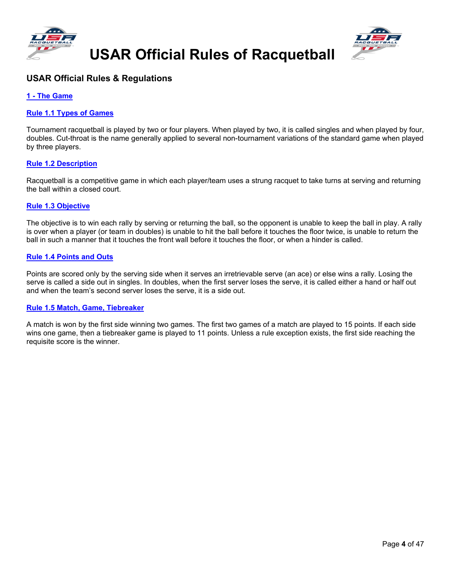





### **USAR Official Rules & Regulations**

#### <span id="page-5-0"></span>**1 - [The Game](#page-2-0)**

#### <span id="page-5-1"></span>**[Rule 1.1 Types of Games](#page-2-1)**

Tournament racquetball is played by two or four players. When played by two, it is called singles and when played by four, doubles. Cut-throat is the name generally applied to several non-tournament variations of the standard game when played by three players.

#### <span id="page-5-2"></span>**[Rule 1.2 Description](#page-2-2)**

Racquetball is a competitive game in which each player/team uses a strung racquet to take turns at serving and returning the ball within a closed court.

#### <span id="page-5-3"></span>**[Rule 1.3 Objective](#page-2-3)**

The objective is to win each rally by serving or returning the ball, so the opponent is unable to keep the ball in play. A rally is over when a player (or team in doubles) is unable to hit the ball before it touches the floor twice, is unable to return the ball in such a manner that it touches the front wall before it touches the floor, or when a hinder is called.

#### <span id="page-5-4"></span>**[Rule 1.4 Points and Outs](#page-2-4)**

Points are scored only by the serving side when it serves an irretrievable serve (an ace) or else wins a rally. Losing the serve is called a side out in singles. In doubles, when the first server loses the serve, it is called either a hand or half out and when the team's second server loses the serve, it is a side out.

#### <span id="page-5-5"></span>**[Rule 1.5 Match, Game, Tiebreaker](#page-2-5)**

A match is won by the first side winning two games. The first two games of a match are played to 15 points. If each side wins one game, then a tiebreaker game is played to 11 points. Unless a rule exception exists, the first side reaching the requisite score is the winner.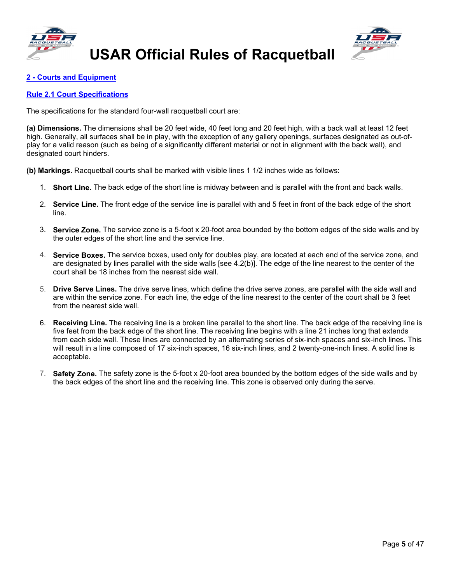



### <span id="page-6-0"></span>**2 - [Courts and Equipment](#page-2-6)**

#### <span id="page-6-1"></span>**[Rule 2.1 Court Specifications](#page-2-7)**

The specifications for the standard four-wall racquetball court are:

**(a) Dimensions.** The dimensions shall be 20 feet wide, 40 feet long and 20 feet high, with a back wall at least 12 feet high. Generally, all surfaces shall be in play, with the exception of any gallery openings, surfaces designated as out-ofplay for a valid reason (such as being of a significantly different material or not in alignment with the back wall), and designated court hinders.

**(b) Markings.** Racquetball courts shall be marked with visible lines 1 1/2 inches wide as follows:

- 1. **Short Line.** The back edge of the short line is midway between and is parallel with the front and back walls.
- 2. **Service Line.** The front edge of the service line is parallel with and 5 feet in front of the back edge of the short line.
- 3. **Service Zone.** The service zone is a 5-foot x 20-foot area bounded by the bottom edges of the side walls and by the outer edges of the short line and the service line.
- 4. **Service Boxes.** The service boxes, used only for doubles play, are located at each end of the service zone, and are designated by lines parallel with the side walls [see 4.2(b)]. The edge of the line nearest to the center of the court shall be 18 inches from the nearest side wall.
- 5. **Drive Serve Lines.** The drive serve lines, which define the drive serve zones, are parallel with the side wall and are within the service zone. For each line, the edge of the line nearest to the center of the court shall be 3 feet from the nearest side wall.
- 6. **Receiving Line.** The receiving line is a broken line parallel to the short line. The back edge of the receiving line is five feet from the back edge of the short line. The receiving line begins with a line 21 inches long that extends from each side wall. These lines are connected by an alternating series of six-inch spaces and six-inch lines. This will result in a line composed of 17 six-inch spaces, 16 six-inch lines, and 2 twenty-one-inch lines. A solid line is acceptable.
- 7. **Safety Zone.** The safety zone is the 5-foot x 20-foot area bounded by the bottom edges of the side walls and by the back edges of the short line and the receiving line. This zone is observed only during the serve.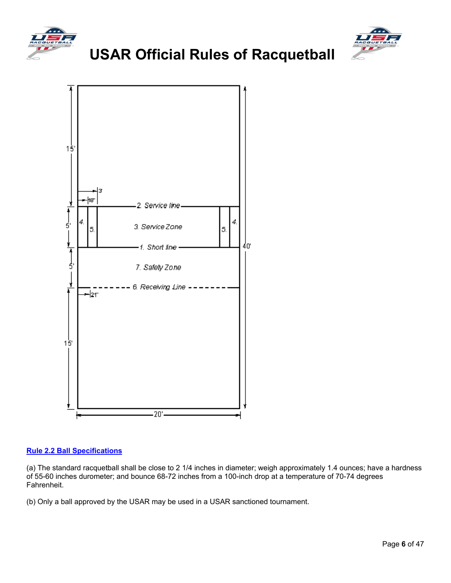





#### <span id="page-7-0"></span>**[Rule 2.2 Ball Specifications](#page-2-8)**

(a) The standard racquetball shall be close to 2 1/4 inches in diameter; weigh approximately 1.4 ounces; have a hardness of 55-60 inches durometer; and bounce 68-72 inches from a 100-inch drop at a temperature of 70-74 degrees Fahrenheit.

(b) Only a ball approved by the USAR may be used in a USAR sanctioned tournament.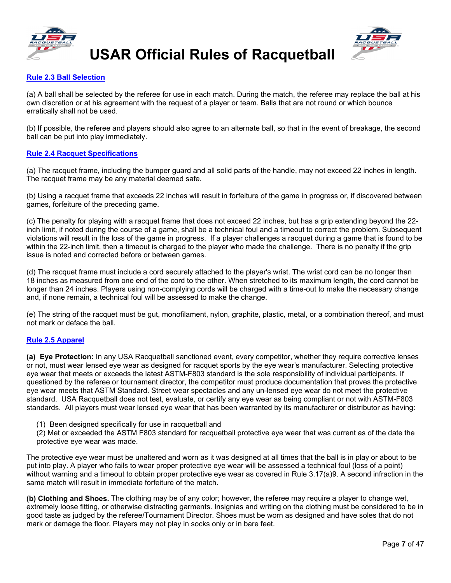



#### <span id="page-8-0"></span>**[Rule 2.3 Ball Selection](#page-2-9)**

(a) A ball shall be selected by the referee for use in each match. During the match, the referee may replace the ball at his own discretion or at his agreement with the request of a player or team. Balls that are not round or which bounce erratically shall not be used.

(b) If possible, the referee and players should also agree to an alternate ball, so that in the event of breakage, the second ball can be put into play immediately.

#### <span id="page-8-1"></span>**[Rule 2.4 Racquet Specifications](#page-2-10)**

(a) The racquet frame, including the bumper guard and all solid parts of the handle, may not exceed 22 inches in length. The racquet frame may be any material deemed safe.

(b) Using a racquet frame that exceeds 22 inches will result in forfeiture of the game in progress or, if discovered between games, forfeiture of the preceding game.

(c) The penalty for playing with a racquet frame that does not exceed 22 inches, but has a grip extending beyond the 22 inch limit, if noted during the course of a game, shall be a technical foul and a timeout to correct the problem. Subsequent violations will result in the loss of the game in progress. If a player challenges a racquet during a game that is found to be within the 22-inch limit, then a timeout is charged to the player who made the challenge. There is no penalty if the grip issue is noted and corrected before or between games.

(d) The racquet frame must include a cord securely attached to the player's wrist. The wrist cord can be no longer than 18 inches as measured from one end of the cord to the other. When stretched to its maximum length, the cord cannot be longer than 24 inches. Players using non-complying cords will be charged with a time-out to make the necessary change and, if none remain, a technical foul will be assessed to make the change.

(e) The string of the racquet must be gut, monofilament, nylon, graphite, plastic, metal, or a combination thereof, and must not mark or deface the ball.

#### <span id="page-8-2"></span>**[Rule 2.5 Apparel](#page-2-11)**

**(a) Eye Protection:** In any USA Racquetball sanctioned event, every competitor, whether they require corrective lenses or not, must wear lensed eye wear as designed for racquet sports by the eye wear's manufacturer. Selecting protective eye wear that meets or exceeds the latest ASTM-F803 standard is the sole responsibility of individual participants. If questioned by the referee or tournament director, the competitor must produce documentation that proves the protective eye wear meets that ASTM Standard. Street wear spectacles and any un-lensed eye wear do not meet the protective standard. USA Racquetball does not test, evaluate, or certify any eye wear as being compliant or not with ASTM-F803 standards. All players must wear lensed eye wear that has been warranted by its manufacturer or distributor as having:

- (1) Been designed specifically for use in racquetball and
- (2) Met or exceeded the ASTM F803 standard for racquetball protective eye wear that was current as of the date the protective eye wear was made.

The protective eye wear must be unaltered and worn as it was designed at all times that the ball is in play or about to be put into play. A player who fails to wear proper protective eye wear will be assessed a technical foul (loss of a point) without warning and a timeout to obtain proper protective eye wear as covered in Rule 3.17(a)9. A second infraction in the same match will result in immediate forfeiture of the match.

**(b) Clothing and Shoes.** The clothing may be of any color; however, the referee may require a player to change wet, extremely loose fitting, or otherwise distracting garments. Insignias and writing on the clothing must be considered to be in good taste as judged by the referee/Tournament Director. Shoes must be worn as designed and have soles that do not mark or damage the floor. Players may not play in socks only or in bare feet.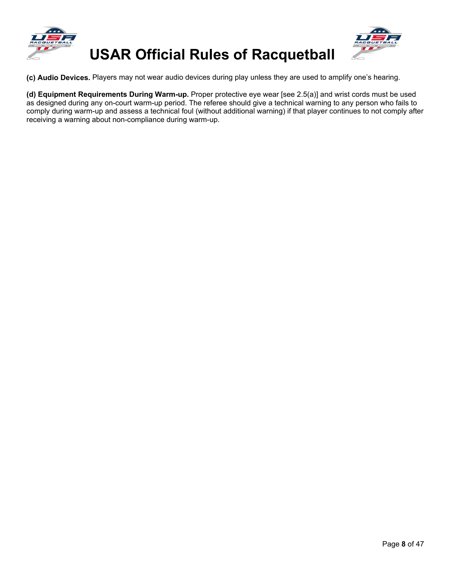





**(c) Audio Devices.** Players may not wear audio devices during play unless they are used to amplify one's hearing.

<span id="page-9-0"></span>**(d) Equipment Requirements During Warm-up.** Proper protective eye wear [see 2.5(a)] and wrist cords must be used as designed during any on-court warm-up period. The referee should give a technical warning to any person who fails to comply during warm-up and assess a technical foul (without additional warning) if that player continues to not comply after receiving a warning about non-compliance during warm-up.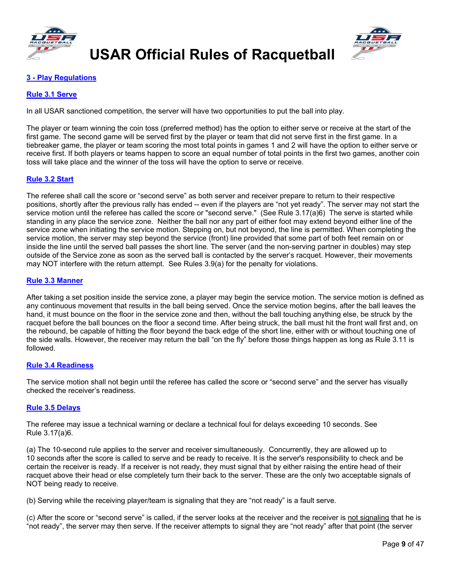



### **3 - [Play Regulations](#page-2-12)**

#### <span id="page-10-0"></span>**[Rule 3.1 Serve](#page-2-13)**

In all USAR sanctioned competition, the server will have two opportunities to put the ball into play.

The player or team winning the coin toss (preferred method) has the option to either serve or receive at the start of the first game. The second game will be served first by the player or team that did not serve first in the first game. In a tiebreaker game, the player or team scoring the most total points in games 1 and 2 will have the option to either serve or receive first. If both players or teams happen to score an equal number of total points in the first two games, another coin toss will take place and the winner of the toss will have the option to serve or receive.

#### <span id="page-10-1"></span>**[Rule 3.2 Start](#page-2-14)**

The referee shall call the score or "second serve" as both server and receiver prepare to return to their respective positions, shortly after the previous rally has ended -- even if the players are "not yet ready". The server may not start the service motion until the referee has called the score or "second serve." (See Rule 3.17(a)6) The serve is started while standing in any place the service zone. Neither the ball nor any part of either foot may extend beyond either line of the service zone when initiating the service motion. Stepping on, but not beyond, the line is permitted. When completing the service motion, the server may step beyond the service (front) line provided that some part of both feet remain on or inside the line until the served ball passes the short line. The server (and the non-serving partner in doubles) may step outside of the Service zone as soon as the served ball is contacted by the server's racquet. However, their movements may NOT interfere with the return attempt. See Rules 3.9(a) for the penalty for violations.

#### <span id="page-10-2"></span>**[Rule 3.3 Manner](#page-2-15)**

After taking a set position inside the service zone, a player may begin the service motion. The service motion is defined as any continuous movement that results in the ball being served. Once the service motion begins, after the ball leaves the hand, it must bounce on the floor in the service zone and then, without the ball touching anything else, be struck by the racquet before the ball bounces on the floor a second time. After being struck, the ball must hit the front wall first and, on the rebound, be capable of hitting the floor beyond the back edge of the short line, either with or without touching one of the side walls. However, the receiver may return the ball "on the fly" before those things happen as long as Rule 3.11 is followed.

#### <span id="page-10-3"></span>**[Rule 3.4 Readiness](#page-2-16)**

The service motion shall not begin until the referee has called the score or "second serve" and the server has visually checked the receiver's readiness.

#### <span id="page-10-4"></span>**[Rule 3.5 Delays](#page-2-17)**

The referee may issue a technical warning or declare a technical foul for delays exceeding 10 seconds. See Rule 3.17(a)6.

(a) The 10-second rule applies to the server and receiver simultaneously. Concurrently, they are allowed up to 10 seconds after the score is called to serve and be ready to receive. It is the server's responsibility to check and be certain the receiver is ready. If a receiver is not ready, they must signal that by either raising the entire head of their racquet above their head or else completely turn their back to the server. These are the only two acceptable signals of NOT being ready to receive.

(b) Serving while the receiving player/team is signaling that they are "not ready" is a fault serve.

(c) After the score or "second serve" is called, if the server looks at the receiver and the receiver is not signaling that he is "not ready", the server may then serve. If the receiver attempts to signal they are "not ready" after that point (the server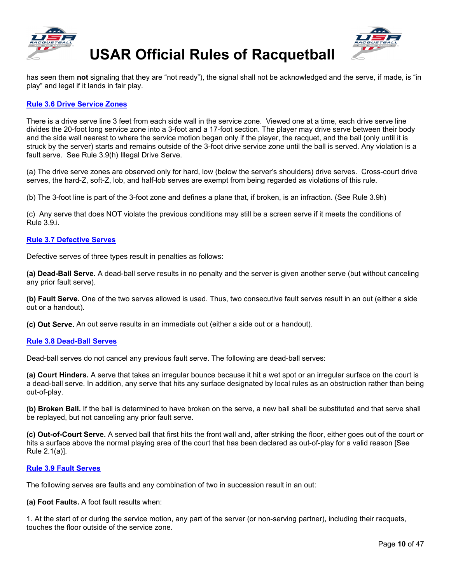





has seen them **not** signaling that they are "not ready"), the signal shall not be acknowledged and the serve, if made, is "in play" and legal if it lands in fair play.

#### <span id="page-11-0"></span>**[Rule 3.6 Drive Service Zones](#page-2-18)**

There is a drive serve line 3 feet from each side wall in the service zone. Viewed one at a time, each drive serve line divides the 20-foot long service zone into a 3-foot and a 17-foot section. The player may drive serve between their body and the side wall nearest to where the service motion began only if the player, the racquet, and the ball (only until it is struck by the server) starts and remains outside of the 3-foot drive service zone until the ball is served. Any violation is a fault serve. See Rule 3.9(h) Illegal Drive Serve.

(a) The drive serve zones are observed only for hard, low (below the server's shoulders) drive serves. Cross-court drive serves, the hard-Z, soft-Z, lob, and half-lob serves are exempt from being regarded as violations of this rule.

(b) The 3-foot line is part of the 3-foot zone and defines a plane that, if broken, is an infraction. (See Rule 3.9h)

(c) Any serve that does NOT violate the previous conditions may still be a screen serve if it meets the conditions of Rule 3.9.i.

#### <span id="page-11-1"></span>**[Rule 3.7 Defective Serves](#page-2-19)**

Defective serves of three types result in penalties as follows:

**(a) Dead-Ball Serve.** A dead-ball serve results in no penalty and the server is given another serve (but without canceling any prior fault serve).

**(b) Fault Serve.** One of the two serves allowed is used. Thus, two consecutive fault serves result in an out (either a side out or a handout).

**(c) Out Serve.** An out serve results in an immediate out (either a side out or a handout).

#### <span id="page-11-2"></span>**[Rule 3.8 Dead-Ball Serves](#page-2-20)**

Dead-ball serves do not cancel any previous fault serve. The following are dead-ball serves:

**(a) Court Hinders.** A serve that takes an irregular bounce because it hit a wet spot or an irregular surface on the court is a dead-ball serve. In addition, any serve that hits any surface designated by local rules as an obstruction rather than being out-of-play.

**(b) Broken Ball.** If the ball is determined to have broken on the serve, a new ball shall be substituted and that serve shall be replayed, but not canceling any prior fault serve.

**(c) Out-of-Court Serve.** A served ball that first hits the front wall and, after striking the floor, either goes out of the court or hits a surface above the normal playing area of the court that has been declared as out-of-play for a valid reason [See Rule 2.1(a)].

#### <span id="page-11-3"></span>**[Rule 3.9 Fault Serves](#page-2-21)**

The following serves are faults and any combination of two in succession result in an out:

**(a) Foot Faults.** A foot fault results when:

1. At the start of or during the service motion, any part of the server (or non-serving partner), including their racquets, touches the floor outside of the service zone.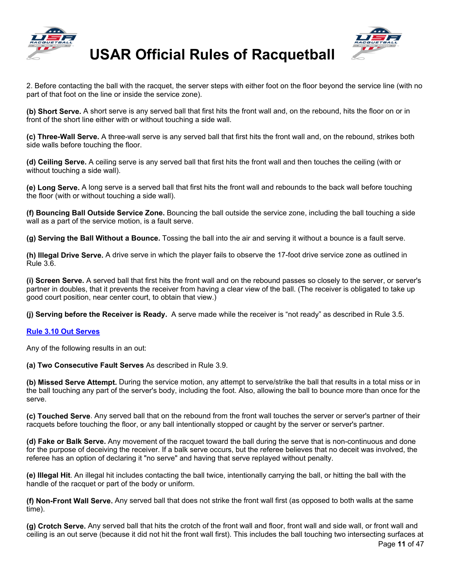



2. Before contacting the ball with the racquet, the server steps with either foot on the floor beyond the service line (with no part of that foot on the line or inside the service zone).

**(b) Short Serve.** A short serve is any served ball that first hits the front wall and, on the rebound, hits the floor on or in front of the short line either with or without touching a side wall.

**(c) Three-Wall Serve.** A three-wall serve is any served ball that first hits the front wall and, on the rebound, strikes both side walls before touching the floor.

**(d) Ceiling Serve.** A ceiling serve is any served ball that first hits the front wall and then touches the ceiling (with or without touching a side wall).

**(e) Long Serve.** A long serve is a served ball that first hits the front wall and rebounds to the back wall before touching the floor (with or without touching a side wall).

**(f) Bouncing Ball Outside Service Zone.** Bouncing the ball outside the service zone, including the ball touching a side wall as a part of the service motion, is a fault serve.

**(g) Serving the Ball Without a Bounce.** Tossing the ball into the air and serving it without a bounce is a fault serve.

**(h) Illegal Drive Serve.** A drive serve in which the player fails to observe the 17-foot drive service zone as outlined in Rule 3.6.

**(i) Screen Serve.** A served ball that first hits the front wall and on the rebound passes so closely to the server, or server's partner in doubles, that it prevents the receiver from having a clear view of the ball. (The receiver is obligated to take up good court position, near center court, to obtain that view.)

**(j) Serving before the Receiver is Ready.** A serve made while the receiver is "not ready" as described in Rule 3.5.

#### <span id="page-12-0"></span>**[Rule 3.10 Out Serves](#page-2-22)**

Any of the following results in an out:

**(a) Two Consecutive Fault Serves** As described in Rule 3.9.

**(b) Missed Serve Attempt.** During the service motion, any attempt to serve/strike the ball that results in a total miss or in the ball touching any part of the server's body, including the foot. Also, allowing the ball to bounce more than once for the serve.

**(c) Touched Serve**. Any served ball that on the rebound from the front wall touches the server or server's partner of their racquets before touching the floor, or any ball intentionally stopped or caught by the server or server's partner.

**(d) Fake or Balk Serve.** Any movement of the racquet toward the ball during the serve that is non-continuous and done for the purpose of deceiving the receiver. If a balk serve occurs, but the referee believes that no deceit was involved, the referee has an option of declaring it "no serve" and having that serve replayed without penalty.

**(e) Illegal Hit**. An illegal hit includes contacting the ball twice, intentionally carrying the ball, or hitting the ball with the handle of the racquet or part of the body or uniform.

**(f) Non-Front Wall Serve.** Any served ball that does not strike the front wall first (as opposed to both walls at the same time).

Page **11** of 47 **(g) Crotch Serve.** Any served ball that hits the crotch of the front wall and floor, front wall and side wall, or front wall and ceiling is an out serve (because it did not hit the front wall first). This includes the ball touching two intersecting surfaces at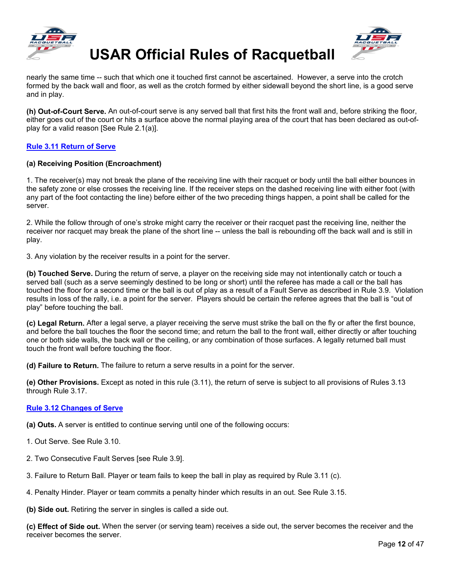



nearly the same time -- such that which one it touched first cannot be ascertained. However, a serve into the crotch formed by the back wall and floor, as well as the crotch formed by either sidewall beyond the short line, is a good serve and in play.

**(h) Out-of-Court Serve.** An out-of-court serve is any served ball that first hits the front wall and, before striking the floor, either goes out of the court or hits a surface above the normal playing area of the court that has been declared as out-ofplay for a valid reason [See Rule 2.1(a)].

#### <span id="page-13-0"></span>**[Rule 3.11 Return of Serve](#page-2-23)**

#### **(a) Receiving Position (Encroachment)**

1. The receiver(s) may not break the plane of the receiving line with their racquet or body until the ball either bounces in the safety zone or else crosses the receiving line. If the receiver steps on the dashed receiving line with either foot (with any part of the foot contacting the line) before either of the two preceding things happen, a point shall be called for the server.

2. While the follow through of one's stroke might carry the receiver or their racquet past the receiving line, neither the receiver nor racquet may break the plane of the short line -- unless the ball is rebounding off the back wall and is still in play.

3. Any violation by the receiver results in a point for the server.

**(b) Touched Serve.** During the return of serve, a player on the receiving side may not intentionally catch or touch a served ball (such as a serve seemingly destined to be long or short) until the referee has made a call or the ball has touched the floor for a second time or the ball is out of play as a result of a Fault Serve as described in Rule 3.9. Violation results in loss of the rally, i.e. a point for the server. Players should be certain the referee agrees that the ball is "out of play" before touching the ball.

**(c) Legal Return.** After a legal serve, a player receiving the serve must strike the ball on the fly or after the first bounce, and before the ball touches the floor the second time; and return the ball to the front wall, either directly or after touching one or both side walls, the back wall or the ceiling, or any combination of those surfaces. A legally returned ball must touch the front wall before touching the floor.

**(d) Failure to Return.** The failure to return a serve results in a point for the server.

**(e) Other Provisions.** Except as noted in this rule (3.11), the return of serve is subject to all provisions of Rules 3.13 through Rule 3.17.

#### <span id="page-13-1"></span>**[Rule 3.12 Changes of Serve](#page-2-24)**

**(a) Outs.** A server is entitled to continue serving until one of the following occurs:

- 1. Out Serve. See Rule 3.10.
- 2. Two Consecutive Fault Serves [see Rule 3.9].
- 3. Failure to Return Ball. Player or team fails to keep the ball in play as required by Rule 3.11 (c).
- 4. Penalty Hinder. Player or team commits a penalty hinder which results in an out. See Rule 3.15.

**(b) Side out.** Retiring the server in singles is called a side out.

**(c) Effect of Side out.** When the server (or serving team) receives a side out, the server becomes the receiver and the receiver becomes the server.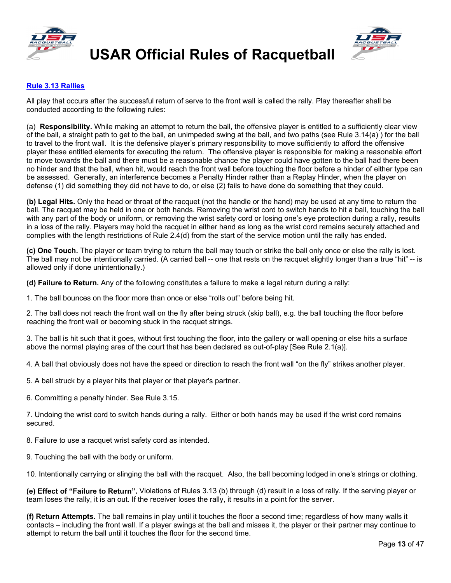



#### <span id="page-14-0"></span>**[Rule 3.13 Rallies](#page-2-25)**

All play that occurs after the successful return of serve to the front wall is called the rally. Play thereafter shall be conducted according to the following rules:

(a) **Responsibility.** While making an attempt to return the ball, the offensive player is entitled to a sufficiently clear view of the ball, a straight path to get to the ball, an unimpeded swing at the ball, and two paths (see Rule 3.14(a) ) for the ball to travel to the front wall. It is the defensive player's primary responsibility to move sufficiently to afford the offensive player these entitled elements for executing the return. The offensive player is responsible for making a reasonable effort to move towards the ball and there must be a reasonable chance the player could have gotten to the ball had there been no hinder and that the ball, when hit, would reach the front wall before touching the floor before a hinder of either type can be assessed. Generally, an interference becomes a Penalty Hinder rather than a Replay Hinder, when the player on defense (1) did something they did not have to do, or else (2) fails to have done do something that they could.

**(b) Legal Hits.** Only the head or throat of the racquet (not the handle or the hand) may be used at any time to return the ball. The racquet may be held in one or both hands. Removing the wrist cord to switch hands to hit a ball, touching the ball with any part of the body or uniform, or removing the wrist safety cord or losing one's eye protection during a rally, results in a loss of the rally. Players may hold the racquet in either hand as long as the wrist cord remains securely attached and complies with the length restrictions of Rule 2.4(d) from the start of the service motion until the rally has ended.

**(c) One Touch.** The player or team trying to return the ball may touch or strike the ball only once or else the rally is lost. The ball may not be intentionally carried. (A carried ball -- one that rests on the racquet slightly longer than a true "hit" -- is allowed only if done unintentionally.)

**(d) Failure to Return.** Any of the following constitutes a failure to make a legal return during a rally:

1. The ball bounces on the floor more than once or else "rolls out" before being hit.

2. The ball does not reach the front wall on the fly after being struck (skip ball), e.g. the ball touching the floor before reaching the front wall or becoming stuck in the racquet strings.

3. The ball is hit such that it goes, without first touching the floor, into the gallery or wall opening or else hits a surface above the normal playing area of the court that has been declared as out-of-play [See Rule 2.1(a)].

4. A ball that obviously does not have the speed or direction to reach the front wall "on the fly" strikes another player.

5. A ball struck by a player hits that player or that player's partner.

6. Committing a penalty hinder. See Rule 3.15.

7. Undoing the wrist cord to switch hands during a rally. Either or both hands may be used if the wrist cord remains secured.

8. Failure to use a racquet wrist safety cord as intended.

9. Touching the ball with the body or uniform.

10. Intentionally carrying or slinging the ball with the racquet. Also, the ball becoming lodged in one's strings or clothing.

**(e) Effect of "Failure to Return".** Violations of Rules 3.13 (b) through (d) result in a loss of rally. If the serving player or team loses the rally, it is an out. If the receiver loses the rally, it results in a point for the server.

**(f) Return Attempts.** The ball remains in play until it touches the floor a second time; regardless of how many walls it contacts – including the front wall. If a player swings at the ball and misses it, the player or their partner may continue to attempt to return the ball until it touches the floor for the second time.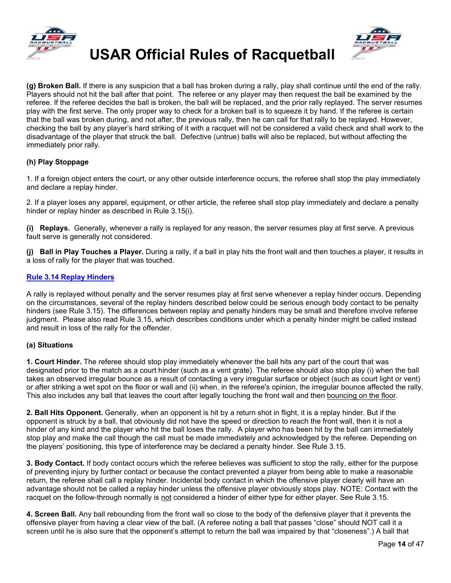



**(g) Broken Ball.** If there is any suspicion that a ball has broken during a rally, play shall continue until the end of the rally. Players should not hit the ball after that point. The referee or any player may then request the ball be examined by the referee. If the referee decides the ball is broken, the ball will be replaced, and the prior rally replayed. The server resumes play with the first serve. The only proper way to check for a broken ball is to squeeze it by hand. If the referee is certain that the ball was broken during, and not after, the previous rally, then he can call for that rally to be replayed. However, checking the ball by any player's hard striking of it with a racquet will not be considered a valid check and shall work to the disadvantage of the player that struck the ball. Defective (untrue) balls will also be replaced, but without affecting the immediately prior rally.

#### **(h) Play Stoppage**

1. If a foreign object enters the court, or any other outside interference occurs, the referee shall stop the play immediately and declare a replay hinder.

2. If a player loses any apparel, equipment, or other article, the referee shall stop play immediately and declare a penalty hinder or replay hinder as described in Rule 3.15(i).

**(i) Replays.** Generally, whenever a rally is replayed for any reason, the server resumes play at first serve. A previous fault serve is generally not considered.

**(j) Ball in Play Touches a Player.** During a rally, if a ball in play hits the front wall and then touches a player, it results in a loss of rally for the player that was touched.

#### <span id="page-15-0"></span>**[Rule 3.14 Replay Hinders](#page-2-26)**

A rally is replayed without penalty and the server resumes play at first serve whenever a replay hinder occurs. Depending on the circumstances, several of the replay hinders described below could be serious enough body contact to be penalty hinders (see Rule 3.15). The differences between replay and penalty hinders may be small and therefore involve referee judgment. Please also read Rule 3.15, which describes conditions under which a penalty hinder might be called instead and result in loss of the rally for the offender.

#### **(a) Situations**

**1. Court Hinder.** The referee should stop play immediately whenever the ball hits any part of the court that was designated prior to the match as a court hinder (such as a vent grate). The referee should also stop play (i) when the ball takes an observed irregular bounce as a result of contacting a very irregular surface or object (such as court light or vent) or after striking a wet spot on the floor or wall and (ii) when, in the referee's opinion, the irregular bounce affected the rally. This also includes any ball that leaves the court after legally touching the front wall and then bouncing on the floor.

**2. Ball Hits Opponent.** Generally, when an opponent is hit by a return shot in flight, it is a replay hinder. But if the opponent is struck by a ball, that obviously did not have the speed or direction to reach the front wall, then it is not a hinder of any kind and the player who hit the ball loses the rally. A player who has been hit by the ball can immediately stop play and make the call though the call must be made immediately and acknowledged by the referee. Depending on the players' positioning, this type of interference may be declared a penalty hinder. See Rule 3.15.

**3. Body Contact.** If body contact occurs which the referee believes was sufficient to stop the rally, either for the purpose of preventing injury by further contact or because the contact prevented a player from being able to make a reasonable return, the referee shall call a replay hinder. Incidental body contact in which the offensive player clearly will have an advantage should not be called a replay hinder unless the offensive player obviously stops play. NOTE: Contact with the racquet on the follow-through normally is not considered a hinder of either type for either player. See Rule 3.15.

**4. Screen Ball.** Any ball rebounding from the front wall so close to the body of the defensive player that it prevents the offensive player from having a clear view of the ball. (A referee noting a ball that passes "close" should NOT call it a screen until he is also sure that the opponent's attempt to return the ball was impaired by that "closeness".) A ball that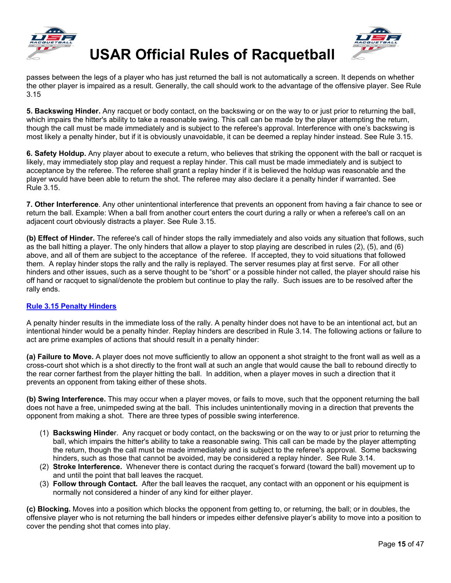



passes between the legs of a player who has just returned the ball is not automatically a screen. It depends on whether the other player is impaired as a result. Generally, the call should work to the advantage of the offensive player. See Rule 3.15

**5. Backswing Hinder.** Any racquet or body contact, on the backswing or on the way to or just prior to returning the ball, which impairs the hitter's ability to take a reasonable swing. This call can be made by the player attempting the return, though the call must be made immediately and is subject to the referee's approval. Interference with one's backswing is most likely a penalty hinder, but if it is obviously unavoidable, it can be deemed a replay hinder instead. See Rule 3.15.

**6. Safety Holdup.** Any player about to execute a return, who believes that striking the opponent with the ball or racquet is likely, may immediately stop play and request a replay hinder. This call must be made immediately and is subject to acceptance by the referee. The referee shall grant a replay hinder if it is believed the holdup was reasonable and the player would have been able to return the shot. The referee may also declare it a penalty hinder if warranted. See Rule 3.15.

**7. Other Interference**. Any other unintentional interference that prevents an opponent from having a fair chance to see or return the ball. Example: When a ball from another court enters the court during a rally or when a referee's call on an adjacent court obviously distracts a player. See Rule 3.15.

**(b) Effect of Hinder.** The referee's call of hinder stops the rally immediately and also voids any situation that follows, such as the ball hitting a player. The only hinders that allow a player to stop playing are described in rules (2), (5), and (6) above, and all of them are subject to the acceptance of the referee. If accepted, they to void situations that followed them. A replay hinder stops the rally and the rally is replayed. The server resumes play at first serve. For all other hinders and other issues, such as a serve thought to be "short" or a possible hinder not called, the player should raise his off hand or racquet to signal/denote the problem but continue to play the rally. Such issues are to be resolved after the rally ends.

#### <span id="page-16-0"></span>**[Rule 3.15 Penalty Hinders](#page-2-27)**

A penalty hinder results in the immediate loss of the rally. A penalty hinder does not have to be an intentional act, but an intentional hinder would be a penalty hinder. Replay hinders are described in Rule 3.14. The following actions or failure to act are prime examples of actions that should result in a penalty hinder:

**(a) Failure to Move.** A player does not move sufficiently to allow an opponent a shot straight to the front wall as well as a cross-court shot which is a shot directly to the front wall at such an angle that would cause the ball to rebound directly to the rear corner farthest from the player hitting the ball. In addition, when a player moves in such a direction that it prevents an opponent from taking either of these shots.

**(b) Swing Interference.** This may occur when a player moves, or fails to move, such that the opponent returning the ball does not have a free, unimpeded swing at the ball. This includes unintentionally moving in a direction that prevents the opponent from making a shot. There are three types of possible swing interference.

- (1) **Backswing Hinde**r. Any racquet or body contact, on the backswing or on the way to or just prior to returning the ball, which impairs the hitter's ability to take a reasonable swing. This call can be made by the player attempting the return, though the call must be made immediately and is subject to the referee's approval. Some backswing hinders, such as those that cannot be avoided, may be considered a replay hinder. See Rule 3.14.
- (2) **Stroke Interference.** Whenever there is contact during the racquet's forward (toward the ball) movement up to and until the point that ball leaves the racquet.
- (3) **Follow through Contact.** After the ball leaves the racquet, any contact with an opponent or his equipment is normally not considered a hinder of any kind for either player.

**(c) Blocking.** Moves into a position which blocks the opponent from getting to, or returning, the ball; or in doubles, the offensive player who is not returning the ball hinders or impedes either defensive player's ability to move into a position to cover the pending shot that comes into play.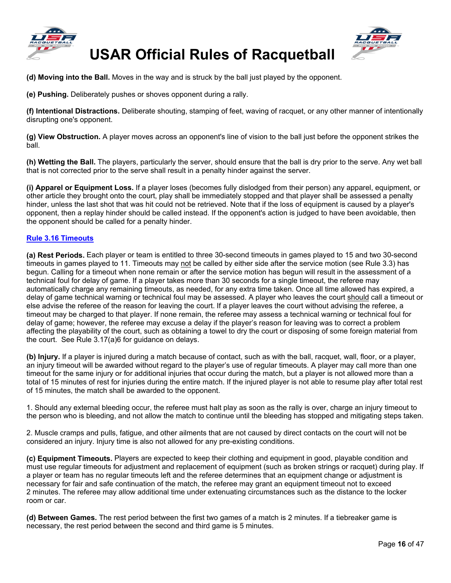



**(d) Moving into the Ball.** Moves in the way and is struck by the ball just played by the opponent.

**(e) Pushing.** Deliberately pushes or shoves opponent during a rally.

**(f) Intentional Distractions.** Deliberate shouting, stamping of feet, waving of racquet, or any other manner of intentionally disrupting one's opponent.

**(g) View Obstruction.** A player moves across an opponent's line of vision to the ball just before the opponent strikes the ball.

**(h) Wetting the Ball.** The players, particularly the server, should ensure that the ball is dry prior to the serve. Any wet ball that is not corrected prior to the serve shall result in a penalty hinder against the server.

**(i) Apparel or Equipment Loss.** If a player loses (becomes fully dislodged from their person) any apparel, equipment, or other article they brought onto the court, play shall be immediately stopped and that player shall be assessed a penalty hinder, unless the last shot that was hit could not be retrieved. Note that if the loss of equipment is caused by a player's opponent, then a replay hinder should be called instead. If the opponent's action is judged to have been avoidable, then the opponent should be called for a penalty hinder.

#### <span id="page-17-0"></span>**[Rule 3.16 Timeouts](#page-2-28)**

**(a) Rest Periods.** Each player or team is entitled to three 30-second timeouts in games played to 15 and two 30-second timeouts in games played to 11. Timeouts may not be called by either side after the service motion (see Rule 3.3) has begun. Calling for a timeout when none remain or after the service motion has begun will result in the assessment of a technical foul for delay of game. If a player takes more than 30 seconds for a single timeout, the referee may automatically charge any remaining timeouts, as needed, for any extra time taken. Once all time allowed has expired, a delay of game technical warning or technical foul may be assessed. A player who leaves the court should call a timeout or else advise the referee of the reason for leaving the court. If a player leaves the court without advising the referee, a timeout may be charged to that player. If none remain, the referee may assess a technical warning or technical foul for delay of game; however, the referee may excuse a delay if the player's reason for leaving was to correct a problem affecting the playability of the court, such as obtaining a towel to dry the court or disposing of some foreign material from the court. See Rule 3.17(a)6 for guidance on delays.

**(b) Injury.** If a player is injured during a match because of contact, such as with the ball, racquet, wall, floor, or a player, an injury timeout will be awarded without regard to the player's use of regular timeouts. A player may call more than one timeout for the same injury or for additional injuries that occur during the match, but a player is not allowed more than a total of 15 minutes of rest for injuries during the entire match. If the injured player is not able to resume play after total rest of 15 minutes, the match shall be awarded to the opponent.

1. Should any external bleeding occur, the referee must halt play as soon as the rally is over, charge an injury timeout to the person who is bleeding, and not allow the match to continue until the bleeding has stopped and mitigating steps taken.

2. Muscle cramps and pulls, fatigue, and other ailments that are not caused by direct contacts on the court will not be considered an injury. Injury time is also not allowed for any pre-existing conditions.

**(c) Equipment Timeouts.** Players are expected to keep their clothing and equipment in good, playable condition and must use regular timeouts for adjustment and replacement of equipment (such as broken strings or racquet) during play. If a player or team has no regular timeouts left and the referee determines that an equipment change or adjustment is necessary for fair and safe continuation of the match, the referee may grant an equipment timeout not to exceed 2 minutes. The referee may allow additional time under extenuating circumstances such as the distance to the locker room or car.

**(d) Between Games.** The rest period between the first two games of a match is 2 minutes. If a tiebreaker game is necessary, the rest period between the second and third game is 5 minutes.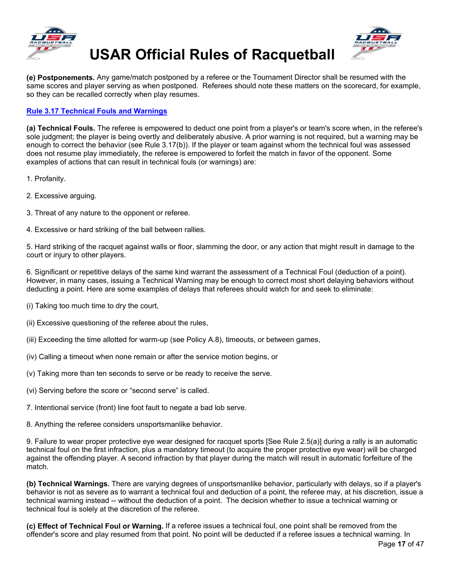



**(e) Postponements.** Any game/match postponed by a referee or the Tournament Director shall be resumed with the same scores and player serving as when postponed. Referees should note these matters on the scorecard, for example, so they can be recalled correctly when play resumes.

### <span id="page-18-0"></span>**[Rule 3.17 Technical Fouls and Warnings](#page-2-29)**

**(a) Technical Fouls.** The referee is empowered to deduct one point from a player's or team's score when, in the referee's sole judgment; the player is being overtly and deliberately abusive. A prior warning is not required, but a warning may be enough to correct the behavior (see Rule 3.17(b)). If the player or team against whom the technical foul was assessed does not resume play immediately, the referee is empowered to forfeit the match in favor of the opponent. Some examples of actions that can result in technical fouls (or warnings) are:

- 1. Profanity.
- 2. Excessive arguing.
- 3. Threat of any nature to the opponent or referee.
- 4. Excessive or hard striking of the ball between rallies.

5. Hard striking of the racquet against walls or floor, slamming the door, or any action that might result in damage to the court or injury to other players.

6. Significant or repetitive delays of the same kind warrant the assessment of a Technical Foul (deduction of a point). However, in many cases, issuing a Technical Warning may be enough to correct most short delaying behaviors without deducting a point. Here are some examples of delays that referees should watch for and seek to eliminate:

- (i) Taking too much time to dry the court,
- (ii) Excessive questioning of the referee about the rules,
- (iii) Exceeding the time allotted for warm-up (see Policy A.8), timeouts, or between games,
- (iv) Calling a timeout when none remain or after the service motion begins, or
- (v) Taking more than ten seconds to serve or be ready to receive the serve.
- (vi) Serving before the score or "second serve" is called.
- 7. Intentional service (front) line foot fault to negate a bad lob serve.
- 8. Anything the referee considers unsportsmanlike behavior.

9. Failure to wear proper protective eye wear designed for racquet sports [See Rule 2.5(a)] during a rally is an automatic technical foul on the first infraction, plus a mandatory timeout (to acquire the proper protective eye wear) will be charged against the offending player. A second infraction by that player during the match will result in automatic forfeiture of the match.

**(b) Technical Warnings.** There are varying degrees of unsportsmanlike behavior, particularly with delays, so if a player's behavior is not as severe as to warrant a technical foul and deduction of a point, the referee may, at his discretion, issue a technical warning instead -- without the deduction of a point. The decision whether to issue a technical warning or technical foul is solely at the discretion of the referee.

**(c) Effect of Technical Foul or Warning.** If a referee issues a technical foul, one point shall be removed from the offender's score and play resumed from that point. No point will be deducted if a referee issues a technical warning. In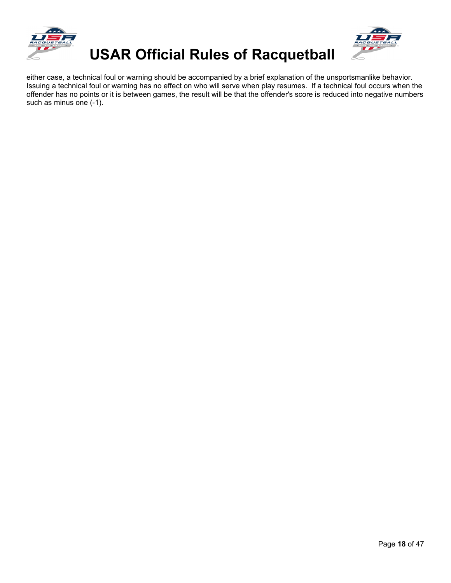



either case, a technical foul or warning should be accompanied by a brief explanation of the unsportsmanlike behavior. Issuing a technical foul or warning has no effect on who will serve when play resumes. If a technical foul occurs when the offender has no points or it is between games, the result will be that the offender's score is reduced into negative numbers such as minus one (-1).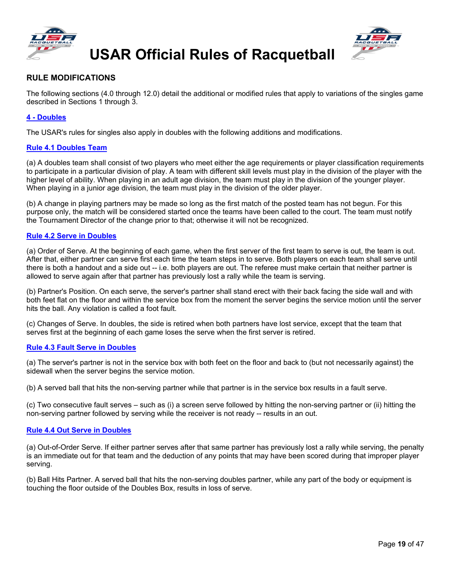



### **RULE MODIFICATIONS**

The following sections (4.0 through 12.0) detail the additional or modified rules that apply to variations of the singles game described in Sections 1 through 3.

#### <span id="page-20-0"></span>**4 - [Doubles](#page-2-30)**

The USAR's rules for singles also apply in doubles with the following additions and modifications.

#### <span id="page-20-1"></span>**[Rule 4.1 Doubles Team](#page-2-31)**

(a) A doubles team shall consist of two players who meet either the age requirements or player classification requirements to participate in a particular division of play. A team with different skill levels must play in the division of the player with the higher level of ability. When playing in an adult age division, the team must play in the division of the younger player. When playing in a junior age division, the team must play in the division of the older player.

(b) A change in playing partners may be made so long as the first match of the posted team has not begun. For this purpose only, the match will be considered started once the teams have been called to the court. The team must notify the Tournament Director of the change prior to that; otherwise it will not be recognized.

#### <span id="page-20-2"></span>**[Rule 4.2 Serve in Doubles](#page-2-32)**

(a) Order of Serve. At the beginning of each game, when the first server of the first team to serve is out, the team is out. After that, either partner can serve first each time the team steps in to serve. Both players on each team shall serve until there is both a handout and a side out -- i.e. both players are out. The referee must make certain that neither partner is allowed to serve again after that partner has previously lost a rally while the team is serving.

(b) Partner's Position. On each serve, the server's partner shall stand erect with their back facing the side wall and with both feet flat on the floor and within the service box from the moment the server begins the service motion until the server hits the ball. Any violation is called a foot fault.

(c) Changes of Serve. In doubles, the side is retired when both partners have lost service, except that the team that serves first at the beginning of each game loses the serve when the first server is retired.

#### <span id="page-20-3"></span>**[Rule 4.3 Fault Serve in Doubles](#page-2-33)**

(a) The server's partner is not in the service box with both feet on the floor and back to (but not necessarily against) the sidewall when the server begins the service motion.

(b) A served ball that hits the non-serving partner while that partner is in the service box results in a fault serve.

(c) Two consecutive fault serves – such as (i) a screen serve followed by hitting the non-serving partner or (ii) hitting the non-serving partner followed by serving while the receiver is not ready -- results in an out.

#### <span id="page-20-4"></span>**[Rule 4.4 Out Serve in Doubles](#page-2-34)**

(a) Out-of-Order Serve. If either partner serves after that same partner has previously lost a rally while serving, the penalty is an immediate out for that team and the deduction of any points that may have been scored during that improper player serving.

<span id="page-20-5"></span>(b) Ball Hits Partner. A served ball that hits the non-serving doubles partner, while any part of the body or equipment is touching the floor outside of the Doubles Box, results in loss of serve.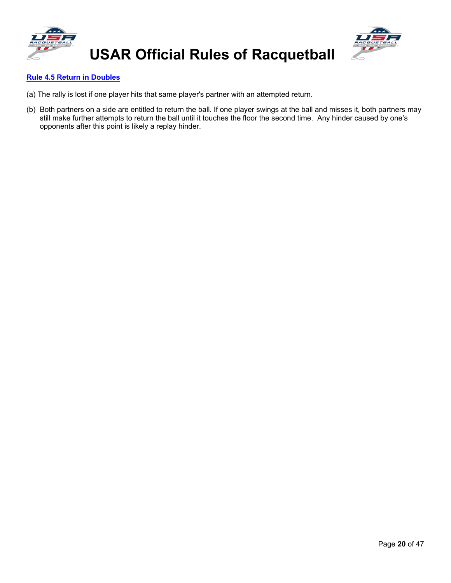



#### **[Rule 4.5 Return in Doubles](#page-2-35)**

- (a) The rally is lost if one player hits that same player's partner with an attempted return.
- <span id="page-21-0"></span>(b) Both partners on a side are entitled to return the ball. If one player swings at the ball and misses it, both partners may still make further attempts to return the ball until it touches the floor the second time. Any hinder caused by one's opponents after this point is likely a replay hinder.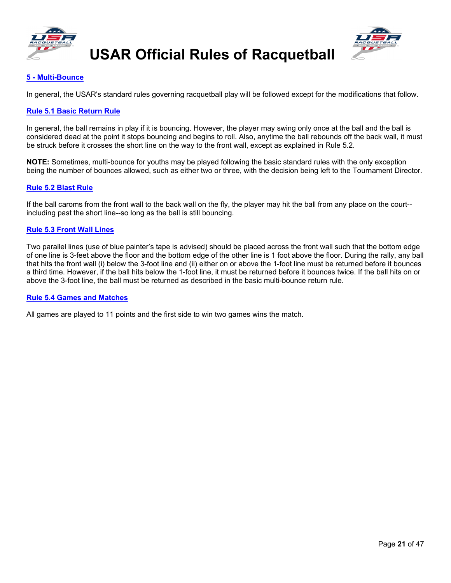



### **5 - [Multi-Bounce](#page-2-36)**

In general, the USAR's standard rules governing racquetball play will be followed except for the modifications that follow.

#### <span id="page-22-0"></span>**[Rule 5.1 Basic Return Rule](#page-2-37)**

In general, the ball remains in play if it is bouncing. However, the player may swing only once at the ball and the ball is considered dead at the point it stops bouncing and begins to roll. Also, anytime the ball rebounds off the back wall, it must be struck before it crosses the short line on the way to the front wall, except as explained in Rule 5.2.

**NOTE:** Sometimes, multi-bounce for youths may be played following the basic standard rules with the only exception being the number of bounces allowed, such as either two or three, with the decision being left to the Tournament Director.

#### <span id="page-22-1"></span>**[Rule 5.2 Blast Rule](#page-2-38)**

If the ball caroms from the front wall to the back wall on the fly, the player may hit the ball from any place on the court- including past the short line--so long as the ball is still bouncing.

#### <span id="page-22-2"></span>**[Rule 5.3 Front Wall Lines](#page-2-39)**

Two parallel lines (use of blue painter's tape is advised) should be placed across the front wall such that the bottom edge of one line is 3-feet above the floor and the bottom edge of the other line is 1 foot above the floor. During the rally, any ball that hits the front wall (i) below the 3-foot line and (ii) either on or above the 1-foot line must be returned before it bounces a third time. However, if the ball hits below the 1-foot line, it must be returned before it bounces twice. If the ball hits on or above the 3-foot line, the ball must be returned as described in the basic multi-bounce return rule.

#### <span id="page-22-3"></span>**[Rule 5.4 Games and Matches](#page-2-40)**

<span id="page-22-4"></span>All games are played to 11 points and the first side to win two games wins the match.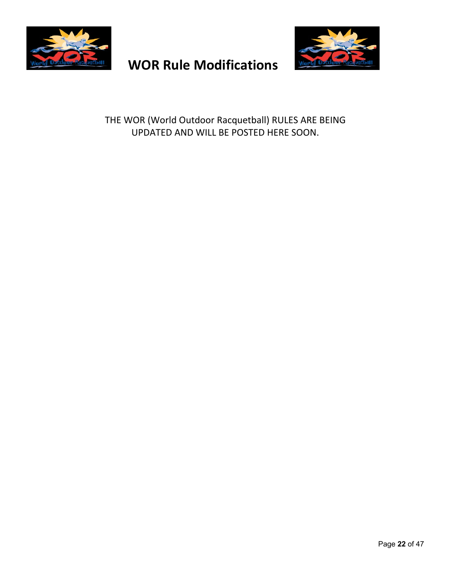

# **WOR Rule Modifications**



THE WOR (World Outdoor Racquetball) RULES ARE BEING UPDATED AND WILL BE POSTED HERE SOON.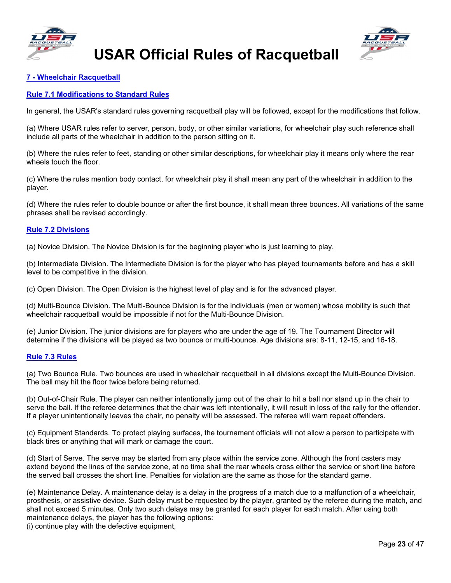



#### <span id="page-24-0"></span>**7 - [Wheelchair Racquetball](#page-3-0)**

#### <span id="page-24-1"></span>**[Rule 7.1 Modifications to Standard Rules](#page-3-1)**

In general, the USAR's standard rules governing racquetball play will be followed, except for the modifications that follow.

(a) Where USAR rules refer to server, person, body, or other similar variations, for wheelchair play such reference shall include all parts of the wheelchair in addition to the person sitting on it.

(b) Where the rules refer to feet, standing or other similar descriptions, for wheelchair play it means only where the rear wheels touch the floor.

(c) Where the rules mention body contact, for wheelchair play it shall mean any part of the wheelchair in addition to the player.

(d) Where the rules refer to double bounce or after the first bounce, it shall mean three bounces. All variations of the same phrases shall be revised accordingly.

#### <span id="page-24-2"></span>**[Rule 7.2 Divisions](#page-3-2)**

(a) Novice Division. The Novice Division is for the beginning player who is just learning to play.

(b) Intermediate Division. The Intermediate Division is for the player who has played tournaments before and has a skill level to be competitive in the division.

(c) Open Division. The Open Division is the highest level of play and is for the advanced player.

(d) Multi-Bounce Division. The Multi-Bounce Division is for the individuals (men or women) whose mobility is such that wheelchair racquetball would be impossible if not for the Multi-Bounce Division.

(e) Junior Division. The junior divisions are for players who are under the age of 19. The Tournament Director will determine if the divisions will be played as two bounce or multi-bounce. Age divisions are: 8-11, 12-15, and 16-18.

#### <span id="page-24-3"></span>**[Rule 7.3 Rules](#page-3-3)**

(a) Two Bounce Rule. Two bounces are used in wheelchair racquetball in all divisions except the Multi-Bounce Division. The ball may hit the floor twice before being returned.

(b) Out-of-Chair Rule. The player can neither intentionally jump out of the chair to hit a ball nor stand up in the chair to serve the ball. If the referee determines that the chair was left intentionally, it will result in loss of the rally for the offender. If a player unintentionally leaves the chair, no penalty will be assessed. The referee will warn repeat offenders.

(c) Equipment Standards. To protect playing surfaces, the tournament officials will not allow a person to participate with black tires or anything that will mark or damage the court.

(d) Start of Serve. The serve may be started from any place within the service zone. Although the front casters may extend beyond the lines of the service zone, at no time shall the rear wheels cross either the service or short line before the served ball crosses the short line. Penalties for violation are the same as those for the standard game.

(e) Maintenance Delay. A maintenance delay is a delay in the progress of a match due to a malfunction of a wheelchair, prosthesis, or assistive device. Such delay must be requested by the player, granted by the referee during the match, and shall not exceed 5 minutes. Only two such delays may be granted for each player for each match. After using both maintenance delays, the player has the following options:

(i) continue play with the defective equipment,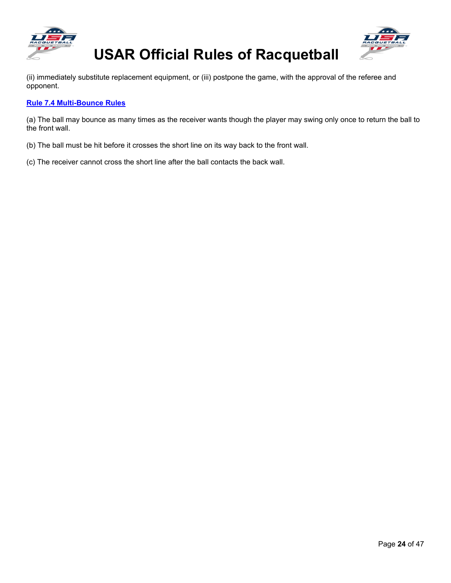



(ii) immediately substitute replacement equipment, or (iii) postpone the game, with the approval of the referee and opponent.

#### <span id="page-25-0"></span>**[Rule 7.4 Multi-Bounce Rules](#page-3-4)**

(a) The ball may bounce as many times as the receiver wants though the player may swing only once to return the ball to the front wall.

- (b) The ball must be hit before it crosses the short line on its way back to the front wall.
- <span id="page-25-1"></span>(c) The receiver cannot cross the short line after the ball contacts the back wall.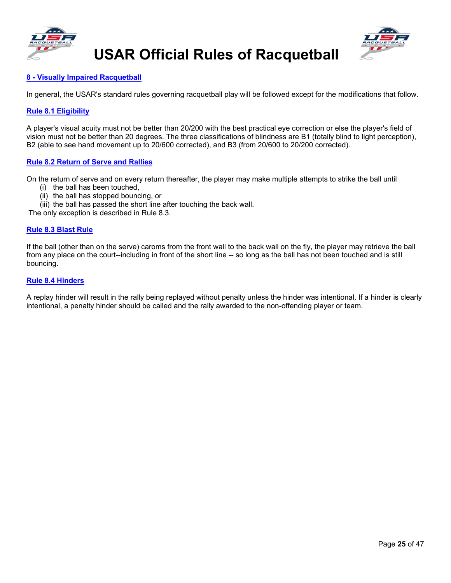





#### **8 - [Visually Impaired Racquetball](#page-3-5)**

In general, the USAR's standard rules governing racquetball play will be followed except for the modifications that follow.

#### <span id="page-26-0"></span>**[Rule 8.1 Eligibility](#page-3-6)**

A player's visual acuity must not be better than 20/200 with the best practical eye correction or else the player's field of vision must not be better than 20 degrees. The three classifications of blindness are B1 (totally blind to light perception), B2 (able to see hand movement up to 20/600 corrected), and B3 (from 20/600 to 20/200 corrected).

#### <span id="page-26-1"></span>**[Rule 8.2 Return of Serve and Rallies](#page-3-7)**

On the return of serve and on every return thereafter, the player may make multiple attempts to strike the ball until

- (i) the ball has been touched,
- (ii) the ball has stopped bouncing, or
- (iii) the ball has passed the short line after touching the back wall.

The only exception is described in Rule 8.3.

#### <span id="page-26-2"></span>**[Rule 8.3 Blast Rule](#page-3-8)**

If the ball (other than on the serve) caroms from the front wall to the back wall on the fly, the player may retrieve the ball from any place on the court--including in front of the short line -- so long as the ball has not been touched and is still bouncing.

#### <span id="page-26-3"></span>**[Rule 8.4 Hinders](#page-3-9)**

<span id="page-26-4"></span>A replay hinder will result in the rally being replayed without penalty unless the hinder was intentional. If a hinder is clearly intentional, a penalty hinder should be called and the rally awarded to the non-offending player or team.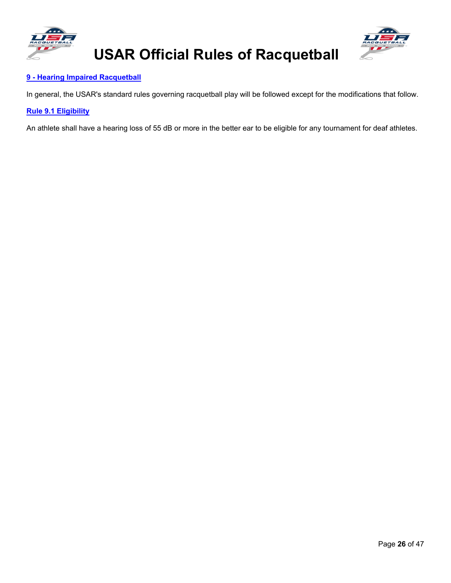



### **9 - [Hearing Impaired](#page-3-10) Racquetball**

In general, the USAR's standard rules governing racquetball play will be followed except for the modifications that follow.

### <span id="page-27-0"></span>**[Rule 9.1 Eligibility](#page-3-11)**

An athlete shall have a hearing loss of 55 dB or more in the better ear to be eligible for any tournament for deaf athletes.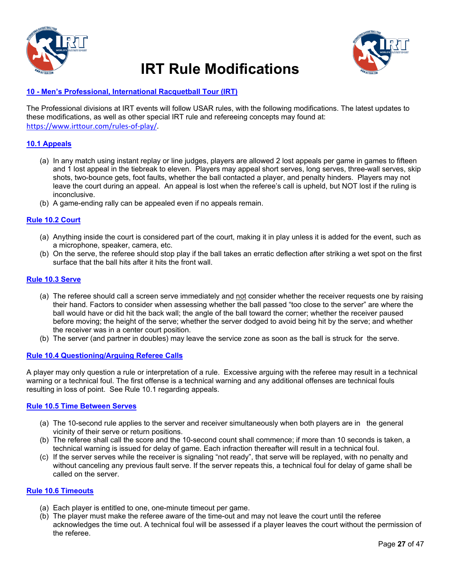

# **IRT Rule Modifications**



### <span id="page-28-0"></span>**10 - Men's Professional, International Racquetball Tour (IRT)**

The Professional divisions at IRT events will follow USAR rules, with the following modifications. The latest updates to these modifications, as well as other special IRT rule and refereeing concepts may found at: [https://www.irttour.com/rules-of-play/.](https://www.irttour.com/rules-of-play/)

#### **10.1 Appeals**

- (a) In any match using instant replay or line judges, players are allowed 2 lost appeals per game in games to fifteen and 1 lost appeal in the tiebreak to eleven. Players may appeal short serves, long serves, three-wall serves, skip shots, two-bounce gets, foot faults, whether the ball contacted a player, and penalty hinders. Players may not leave the court during an appeal. An appeal is lost when the referee's call is upheld, but NOT lost if the ruling is inconclusive.
- (b) A game-ending rally can be appealed even if no appeals remain.

#### **Rule 10.2 Court**

- (a) Anything inside the court is considered part of the court, making it in play unless it is added for the event, such as a microphone, speaker, camera, etc.
- (b) On the serve, the referee should stop play if the ball takes an erratic deflection after striking a wet spot on the first surface that the ball hits after it hits the front wall.

#### **Rule 10.3 Serve**

- (a) The referee should call a screen serve immediately and not consider whether the receiver requests one by raising their hand. Factors to consider when assessing whether the ball passed "too close to the server" are where the ball would have or did hit the back wall; the angle of the ball toward the corner; whether the receiver paused before moving; the height of the serve; whether the server dodged to avoid being hit by the serve; and whether the receiver was in a center court position.
- (b) The server (and partner in doubles) may leave the service zone as soon as the ball is struck for the serve.

#### **Rule 10.4 Questioning/Arguing Referee Calls**

A player may only question a rule or interpretation of a rule. Excessive arguing with the referee may result in a technical warning or a technical foul. The first offense is a technical warning and any additional offenses are technical fouls resulting in loss of point. See Rule 10.1 regarding appeals.

#### **Rule 10.5 Time Between Serves**

- (a) The 10-second rule applies to the server and receiver simultaneously when both players are in the general vicinity of their serve or return positions.
- (b) The referee shall call the score and the 10-second count shall commence; if more than 10 seconds is taken, a technical warning is issued for delay of game. Each infraction thereafter will result in a technical foul.
- (c) If the server serves while the receiver is signaling "not ready", that serve will be replayed, with no penalty and without canceling any previous fault serve. If the server repeats this, a technical foul for delay of game shall be called on the server.

#### **Rule 10.6 Timeouts**

- (a) Each player is entitled to one, one-minute timeout per game.
- (b) The player must make the referee aware of the time-out and may not leave the court until the referee acknowledges the time out. A technical foul will be assessed if a player leaves the court without the permission of the referee.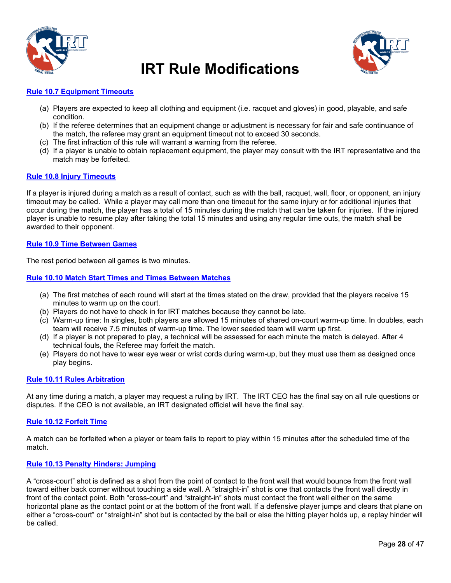

### **IRT Rule Modifications**



#### **Rule 10.7 Equipment Timeouts**

- (a) Players are expected to keep all clothing and equipment (i.e. racquet and gloves) in good, playable, and safe condition.
- (b) If the referee determines that an equipment change or adjustment is necessary for fair and safe continuance of the match, the referee may grant an equipment timeout not to exceed 30 seconds.
- (c) The first infraction of this rule will warrant a warning from the referee.
- (d) If a player is unable to obtain replacement equipment, the player may consult with the IRT representative and the match may be forfeited.

#### **Rule 10.8 Injury Timeouts**

If a player is injured during a match as a result of contact, such as with the ball, racquet, wall, floor, or opponent, an injury timeout may be called. While a player may call more than one timeout for the same injury or for additional injuries that occur during the match, the player has a total of 15 minutes during the match that can be taken for injuries. If the injured player is unable to resume play after taking the total 15 minutes and using any regular time outs, the match shall be awarded to their opponent.

#### **Rule 10.9 Time Between Games**

The rest period between all games is two minutes.

#### **Rule 10.10 Match Start Times and Times Between Matches**

- (a) The first matches of each round will start at the times stated on the draw, provided that the players receive 15 minutes to warm up on the court.
- (b) Players do not have to check in for IRT matches because they cannot be late.
- (c) Warm-up time: In singles, both players are allowed 15 minutes of shared on-court warm-up time. In doubles, each team will receive 7.5 minutes of warm-up time. The lower seeded team will warm up first.
- (d) If a player is not prepared to play, a technical will be assessed for each minute the match is delayed. After 4 technical fouls, the Referee may forfeit the match.
- (e) Players do not have to wear eye wear or wrist cords during warm-up, but they must use them as designed once play begins.

#### **Rule 10.11 Rules Arbitration**

At any time during a match, a player may request a ruling by IRT. The IRT CEO has the final say on all rule questions or disputes. If the CEO is not available, an IRT designated official will have the final say.

#### **Rule 10.12 Forfeit Time**

A match can be forfeited when a player or team fails to report to play within 15 minutes after the scheduled time of the match.

#### **Rule 10.13 Penalty Hinders: Jumping**

A "cross-court" shot is defined as a shot from the point of contact to the front wall that would bounce from the front wall toward either back corner without touching a side wall. A "straight-in" shot is one that contacts the front wall directly in front of the contact point. Both "cross-court" and "straight-in" shots must contact the front wall either on the same horizontal plane as the contact point or at the bottom of the front wall. If a defensive player jumps and clears that plane on either a "cross-court" or "straight-in" shot but is contacted by the ball or else the hitting player holds up, a replay hinder will be called.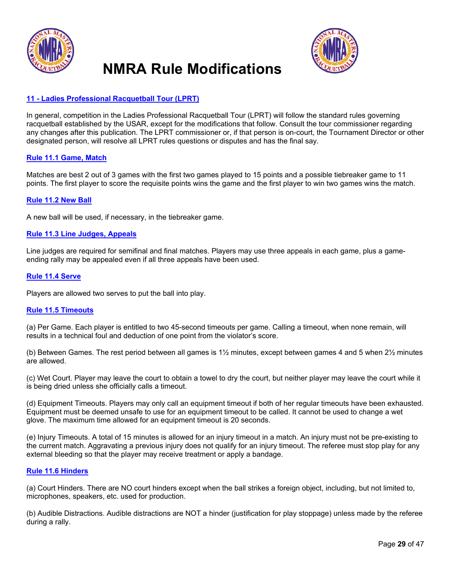

### **NMRA Rule Modifications**



#### <span id="page-30-0"></span>**11 - [Ladies Professional Racquetball Tour \(LPRT\)](#page-3-12)**

In general, competition in the Ladies Professional Racquetball Tour (LPRT) will follow the standard rules governing racquetball established by the USAR, except for the modifications that follow. Consult the tour commissioner regarding any changes after this publication. The LPRT commissioner or, if that person is on-court, the Tournament Director or other designated person, will resolve all LPRT rules questions or disputes and has the final say.

#### <span id="page-30-1"></span>**[Rule 11.1 Game, Match](#page-3-13)**

Matches are best 2 out of 3 games with the first two games played to 15 points and a possible tiebreaker game to 11 points. The first player to score the requisite points wins the game and the first player to win two games wins the match.

#### <span id="page-30-2"></span>**[Rule 11.2 New Ball](#page-3-14)**

A new ball will be used, if necessary, in the tiebreaker game.

#### <span id="page-30-3"></span>**[Rule 11.3 Line Judges, Appeals](#page-3-15)**

Line judges are required for semifinal and final matches. Players may use three appeals in each game, plus a gameending rally may be appealed even if all three appeals have been used.

#### <span id="page-30-4"></span>**[Rule 11.4 Serve](#page-3-16)**

Players are allowed two serves to put the ball into play.

#### <span id="page-30-5"></span>**[Rule 11.5 Timeouts](#page-3-17)**

(a) Per Game. Each player is entitled to two 45-second timeouts per game. Calling a timeout, when none remain, will results in a technical foul and deduction of one point from the violator's score.

(b) Between Games. The rest period between all games is  $1\frac{1}{2}$  minutes, except between games 4 and 5 when  $2\frac{1}{2}$  minutes are allowed.

(c) Wet Court. Player may leave the court to obtain a towel to dry the court, but neither player may leave the court while it is being dried unless she officially calls a timeout.

(d) Equipment Timeouts. Players may only call an equipment timeout if both of her regular timeouts have been exhausted. Equipment must be deemed unsafe to use for an equipment timeout to be called. It cannot be used to change a wet glove. The maximum time allowed for an equipment timeout is 20 seconds.

(e) Injury Timeouts. A total of 15 minutes is allowed for an injury timeout in a match. An injury must not be pre-existing to the current match. Aggravating a previous injury does not qualify for an injury timeout. The referee must stop play for any external bleeding so that the player may receive treatment or apply a bandage.

#### <span id="page-30-6"></span>**[Rule 11.6 Hinders](#page-3-18)**

(a) Court Hinders. There are NO court hinders except when the ball strikes a foreign object, including, but not limited to, microphones, speakers, etc. used for production.

<span id="page-30-7"></span>(b) Audible Distractions. Audible distractions are NOT a hinder (justification for play stoppage) unless made by the referee during a rally.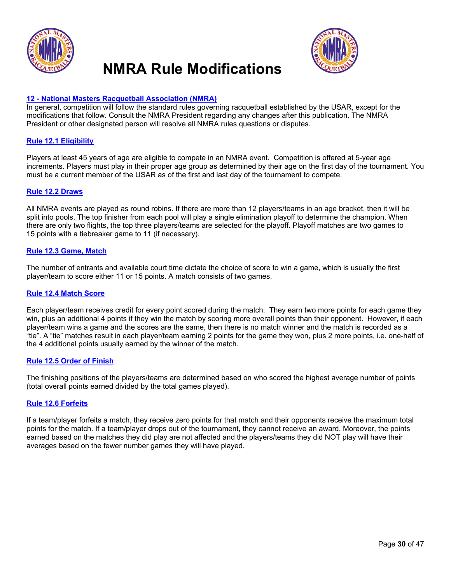

### **NMRA Rule Modifications**



#### **12 - [National Masters Racquetball Association \(NMRA\)](#page-3-19)**

In general, competition will follow the standard rules governing racquetball established by the USAR, except for the modifications that follow. Consult the NMRA President regarding any changes after this publication. The NMRA President or other designated person will resolve all NMRA rules questions or disputes.

#### <span id="page-31-0"></span>**[Rule 12.1 Eligibility](#page-3-20)**

Players at least 45 years of age are eligible to compete in an NMRA event. Competition is offered at 5-year age increments. Players must play in their proper age group as determined by their age on the first day of the tournament. You must be a current member of the USAR as of the first and last day of the tournament to compete.

#### <span id="page-31-1"></span>**[Rule 12.2 Draws](#page-3-21)**

All NMRA events are played as round robins. If there are more than 12 players/teams in an age bracket, then it will be split into pools. The top finisher from each pool will play a single elimination playoff to determine the champion. When there are only two flights, the top three players/teams are selected for the playoff. Playoff matches are two games to 15 points with a tiebreaker game to 11 (if necessary).

#### <span id="page-31-2"></span>**[Rule 12.3 Game, Match](#page-3-22)**

The number of entrants and available court time dictate the choice of score to win a game, which is usually the first player/team to score either 11 or 15 points. A match consists of two games.

#### <span id="page-31-3"></span>**[Rule 12.4 Match Score](#page-3-23)**

Each player/team receives credit for every point scored during the match. They earn two more points for each game they win, plus an additional 4 points if they win the match by scoring more overall points than their opponent. However, if each player/team wins a game and the scores are the same, then there is no match winner and the match is recorded as a "tie". A "tie" matches result in each player/team earning 2 points for the game they won, plus 2 more points, i.e. one-half of the 4 additional points usually earned by the winner of the match.

#### <span id="page-31-4"></span>**[Rule 12.5 Order of Finish](#page-3-24)**

The finishing positions of the players/teams are determined based on who scored the highest average number of points (total overall points earned divided by the total games played).

#### <span id="page-31-5"></span>**[Rule 12.6 Forfeits](#page-3-25)**

If a team/player forfeits a match, they receive zero points for that match and their opponents receive the maximum total points for the match. If a team/player drops out of the tournament, they cannot receive an award. Moreover, the points earned based on the matches they did play are not affected and the players/teams they did NOT play will have their averages based on the fewer number games they will have played.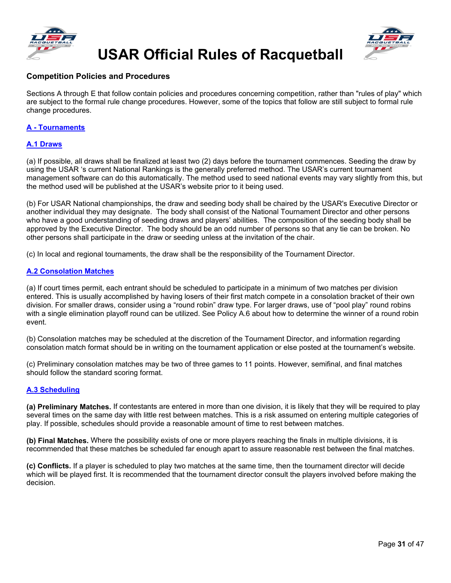



### **Competition Policies and Procedures**

Sections A through E that follow contain policies and procedures concerning competition, rather than "rules of play" which are subject to the formal rule change procedures. However, some of the topics that follow are still subject to formal rule change procedures.

#### <span id="page-32-0"></span>**A - Tournaments**

#### <span id="page-32-1"></span>**A.1 Draws**

(a) If possible, all draws shall be finalized at least two (2) days before the tournament commences. Seeding the draw by using the USAR 's current National Rankings is the generally preferred method. The USAR's current tournament management software can do this automatically. The method used to seed national events may vary slightly from this, but the method used will be published at the USAR's website prior to it being used.

(b) For USAR National championships, the draw and seeding body shall be chaired by the USAR's Executive Director or another individual they may designate. The body shall consist of the National Tournament Director and other persons who have a good understanding of seeding draws and players' abilities. The composition of the seeding body shall be approved by the Executive Director. The body should be an odd number of persons so that any tie can be broken. No other persons shall participate in the draw or seeding unless at the invitation of the chair.

(c) In local and regional tournaments, the draw shall be the responsibility of the Tournament Director.

#### <span id="page-32-2"></span>**A.2 Consolation Matches**

(a) If court times permit, each entrant should be scheduled to participate in a minimum of two matches per division entered. This is usually accomplished by having losers of their first match compete in a consolation bracket of their own division. For smaller draws, consider using a "round robin" draw type. For larger draws, use of "pool play" round robins with a single elimination playoff round can be utilized. See Policy A.6 about how to determine the winner of a round robin event.

(b) Consolation matches may be scheduled at the discretion of the Tournament Director, and information regarding consolation match format should be in writing on the tournament application or else posted at the tournament's website.

(c) Preliminary consolation matches may be two of three games to 11 points. However, semifinal, and final matches should follow the standard scoring format.

#### <span id="page-32-3"></span>**A.3 Scheduling**

**(a) Preliminary Matches.** If contestants are entered in more than one division, it is likely that they will be required to play several times on the same day with little rest between matches. This is a risk assumed on entering multiple categories of play. If possible, schedules should provide a reasonable amount of time to rest between matches.

**(b) Final Matches.** Where the possibility exists of one or more players reaching the finals in multiple divisions, it is recommended that these matches be scheduled far enough apart to assure reasonable rest between the final matches.

<span id="page-32-4"></span>**(c) Conflicts.** If a player is scheduled to play two matches at the same time, then the tournament director will decide which will be played first. It is recommended that the tournament director consult the players involved before making the decision.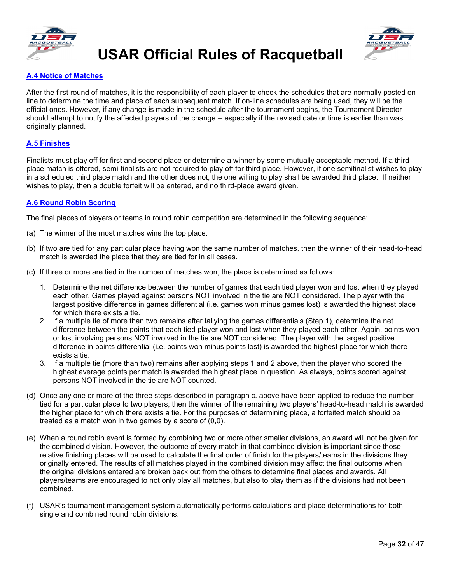



#### **A.4 Notice of Matches**

After the first round of matches, it is the responsibility of each player to check the schedules that are normally posted online to determine the time and place of each subsequent match. If on-line schedules are being used, they will be the official ones. However, if any change is made in the schedule after the tournament begins, the Tournament Director should attempt to notify the affected players of the change -- especially if the revised date or time is earlier than was originally planned.

#### <span id="page-33-0"></span>**A.5 Finishes**

Finalists must play off for first and second place or determine a winner by some mutually acceptable method. If a third place match is offered, semi-finalists are not required to play off for third place. However, if one semifinalist wishes to play in a scheduled third place match and the other does not, the one willing to play shall be awarded third place. If neither wishes to play, then a double forfeit will be entered, and no third-place award given.

#### <span id="page-33-1"></span>**A.6 Round Robin Scoring**

The final places of players or teams in round robin competition are determined in the following sequence:

- (a) The winner of the most matches wins the top place.
- (b) If two are tied for any particular place having won the same number of matches, then the winner of their head-to-head match is awarded the place that they are tied for in all cases.
- (c) If three or more are tied in the number of matches won, the place is determined as follows:
	- 1. Determine the net difference between the number of games that each tied player won and lost when they played each other. Games played against persons NOT involved in the tie are NOT considered. The player with the largest positive difference in games differential (i.e. games won minus games lost) is awarded the highest place for which there exists a tie.
	- 2. If a multiple tie of more than two remains after tallying the games differentials (Step 1), determine the net difference between the points that each tied player won and lost when they played each other. Again, points won or lost involving persons NOT involved in the tie are NOT considered. The player with the largest positive difference in points differential (i.e. points won minus points lost) is awarded the highest place for which there exists a tie.
	- 3. If a multiple tie (more than two) remains after applying steps 1 and 2 above, then the player who scored the highest average points per match is awarded the highest place in question. As always, points scored against persons NOT involved in the tie are NOT counted.
- (d) Once any one or more of the three steps described in paragraph c. above have been applied to reduce the number tied for a particular place to two players, then the winner of the remaining two players' head-to-head match is awarded the higher place for which there exists a tie. For the purposes of determining place, a forfeited match should be treated as a match won in two games by a score of (0,0).
- (e) When a round robin event is formed by combining two or more other smaller divisions, an award will not be given for the combined division. However, the outcome of every match in that combined division is important since those relative finishing places will be used to calculate the final order of finish for the players/teams in the divisions they originally entered. The results of all matches played in the combined division may affect the final outcome when the original divisions entered are broken back out from the others to determine final places and awards. All players/teams are encouraged to not only play all matches, but also to play them as if the divisions had not been combined.
- (f) USAR's tournament management system automatically performs calculations and place determinations for both single and combined round robin divisions.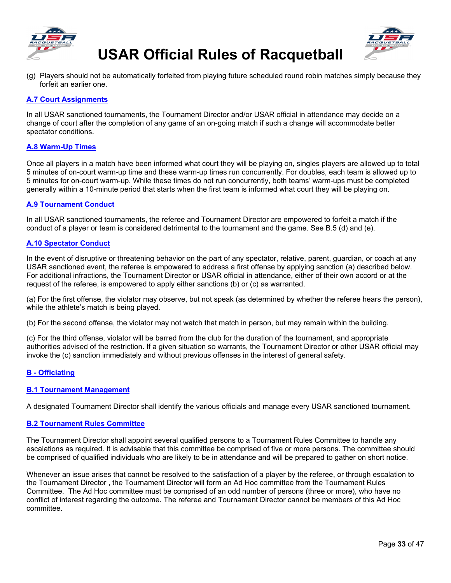



(g) Players should not be automatically forfeited from playing future scheduled round robin matches simply because they forfeit an earlier one.

#### <span id="page-34-0"></span>**A.7 Court Assignments**

In all USAR sanctioned tournaments, the Tournament Director and/or USAR official in attendance may decide on a change of court after the completion of any game of an on-going match if such a change will accommodate better spectator conditions.

#### <span id="page-34-1"></span>**A.8 Warm-Up Times**

Once all players in a match have been informed what court they will be playing on, singles players are allowed up to total 5 minutes of on-court warm-up time and these warm-up times run concurrently. For doubles, each team is allowed up to 5 minutes for on-court warm-up. While these times do not run concurrently, both teams' warm-ups must be completed generally within a 10-minute period that starts when the first team is informed what court they will be playing on.

#### <span id="page-34-2"></span>**A.9 Tournament Conduct**

In all USAR sanctioned tournaments, the referee and Tournament Director are empowered to forfeit a match if the conduct of a player or team is considered detrimental to the tournament and the game. See B.5 (d) and (e).

#### <span id="page-34-3"></span>**A.10 Spectator Conduct**

In the event of disruptive or threatening behavior on the part of any spectator, relative, parent, guardian, or coach at any USAR sanctioned event, the referee is empowered to address a first offense by applying sanction (a) described below. For additional infractions, the Tournament Director or USAR official in attendance, either of their own accord or at the request of the referee, is empowered to apply either sanctions (b) or (c) as warranted.

(a) For the first offense, the violator may observe, but not speak (as determined by whether the referee hears the person), while the athlete's match is being played.

(b) For the second offense, the violator may not watch that match in person, but may remain within the building.

(c) For the third offense, violator will be barred from the club for the duration of the tournament, and appropriate authorities advised of the restriction. If a given situation so warrants, the Tournament Director or other USAR official may invoke the (c) sanction immediately and without previous offenses in the interest of general safety.

#### <span id="page-34-4"></span>**B - Officiating**

#### <span id="page-34-5"></span>**B.1 Tournament Management**

A designated Tournament Director shall identify the various officials and manage every USAR sanctioned tournament.

#### <span id="page-34-6"></span>**B.2 Tournament Rules Committee**

The Tournament Director shall appoint several qualified persons to a Tournament Rules Committee to handle any escalations as required. It is advisable that this committee be comprised of five or more persons. The committee should be comprised of qualified individuals who are likely to be in attendance and will be prepared to gather on short notice.

<span id="page-34-7"></span>Whenever an issue arises that cannot be resolved to the satisfaction of a player by the referee, or through escalation to the Tournament Director , the Tournament Director will form an Ad Hoc committee from the Tournament Rules Committee. The Ad Hoc committee must be comprised of an odd number of persons (three or more), who have no conflict of interest regarding the outcome. The referee and Tournament Director cannot be members of this Ad Hoc committee.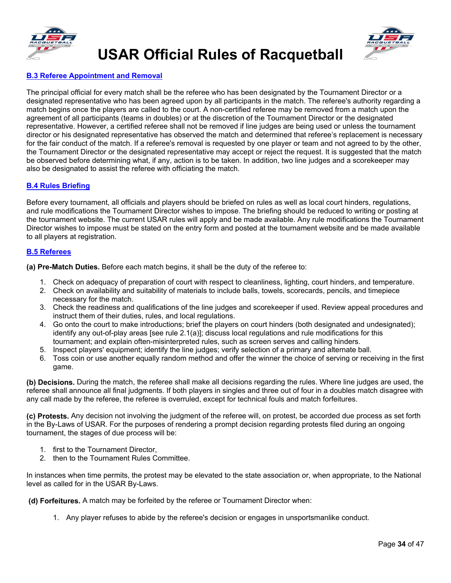



#### **B.3 Referee Appointment and Removal**

The principal official for every match shall be the referee who has been designated by the Tournament Director or a designated representative who has been agreed upon by all participants in the match. The referee's authority regarding a match begins once the players are called to the court. A non-certified referee may be removed from a match upon the agreement of all participants (teams in doubles) or at the discretion of the Tournament Director or the designated representative. However, a certified referee shall not be removed if line judges are being used or unless the tournament director or his designated representative has observed the match and determined that referee's replacement is necessary for the fair conduct of the match. If a referee's removal is requested by one player or team and not agreed to by the other, the Tournament Director or the designated representative may accept or reject the request. It is suggested that the match be observed before determining what, if any, action is to be taken. In addition, two line judges and a scorekeeper may also be designated to assist the referee with officiating the match.

#### <span id="page-35-0"></span>**B.4 Rules Briefing**

Before every tournament, all officials and players should be briefed on rules as well as local court hinders, regulations, and rule modifications the Tournament Director wishes to impose. The briefing should be reduced to writing or posting at the tournament website. The current USAR rules will apply and be made available. Any rule modifications the Tournament Director wishes to impose must be stated on the entry form and posted at the tournament website and be made available to all players at registration.

#### <span id="page-35-1"></span>**B.5 Referees**

**(a) Pre-Match Duties.** Before each match begins, it shall be the duty of the referee to:

- 1. Check on adequacy of preparation of court with respect to cleanliness, lighting, court hinders, and temperature.
- 2. Check on availability and suitability of materials to include balls, towels, scorecards, pencils, and timepiece necessary for the match.
- 3. Check the readiness and qualifications of the line judges and scorekeeper if used. Review appeal procedures and instruct them of their duties, rules, and local regulations.
- 4. Go onto the court to make introductions; brief the players on court hinders (both designated and undesignated); identify any out-of-play areas [see rule 2.1(a)]; discuss local regulations and rule modifications for this tournament; and explain often-misinterpreted rules, such as screen serves and calling hinders.
- 5. Inspect players' equipment; identify the line judges; verify selection of a primary and alternate ball.
- 6. Toss coin or use another equally random method and offer the winner the choice of serving or receiving in the first game.

**(b) Decisions.** During the match, the referee shall make all decisions regarding the rules. Where line judges are used, the referee shall announce all final judgments. If both players in singles and three out of four in a doubles match disagree with any call made by the referee, the referee is overruled, except for technical fouls and match forfeitures.

**(c) Protests.** Any decision not involving the judgment of the referee will, on protest, be accorded due process as set forth in the By-Laws of USAR. For the purposes of rendering a prompt decision regarding protests filed during an ongoing tournament, the stages of due process will be:

- 1. first to the Tournament Director,
- 2. then to the Tournament Rules Committee.

In instances when time permits, the protest may be elevated to the state association or, when appropriate, to the National level as called for in the USAR By-Laws.

**(d) Forfeitures.** A match may be forfeited by the referee or Tournament Director when:

1. Any player refuses to abide by the referee's decision or engages in unsportsmanlike conduct.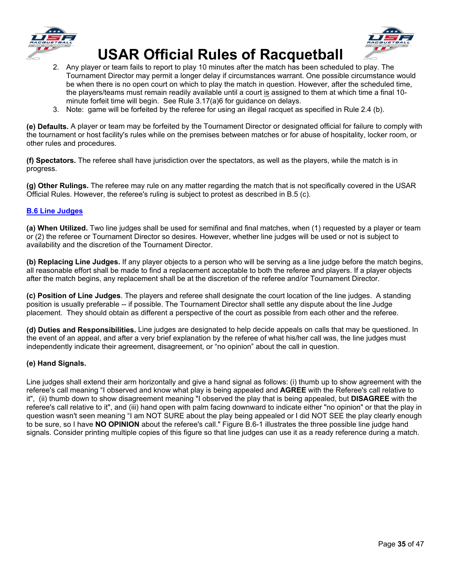



- 2. Any player or team fails to report to play 10 minutes after the match has been scheduled to play. The Tournament Director may permit a longer delay if circumstances warrant. One possible circumstance would be when there is no open court on which to play the match in question. However, after the scheduled time, the players/teams must remain readily available until a court is assigned to them at which time a final 10minute forfeit time will begin. See Rule 3.17(a)6 for guidance on delays.
- 3. Note: game will be forfeited by the referee for using an illegal racquet as specified in Rule 2.4 (b).

**(e) Defaults.** A player or team may be forfeited by the Tournament Director or designated official for failure to comply with the tournament or host facility's rules while on the premises between matches or for abuse of hospitality, locker room, or other rules and procedures.

**(f) Spectators.** The referee shall have jurisdiction over the spectators, as well as the players, while the match is in progress.

**(g) Other Rulings.** The referee may rule on any matter regarding the match that is not specifically covered in the USAR Official Rules. However, the referee's ruling is subject to protest as described in B.5 (c).

#### <span id="page-36-0"></span>**B.6 Line Judges**

**(a) When Utilized.** Two line judges shall be used for semifinal and final matches, when (1) requested by a player or team or (2) the referee or Tournament Director so desires. However, whether line judges will be used or not is subject to availability and the discretion of the Tournament Director.

**(b) Replacing Line Judges.** If any player objects to a person who will be serving as a line judge before the match begins, all reasonable effort shall be made to find a replacement acceptable to both the referee and players. If a player objects after the match begins, any replacement shall be at the discretion of the referee and/or Tournament Director.

**(c) Position of Line Judges**. The players and referee shall designate the court location of the line judges. A standing position is usually preferable -- if possible. The Tournament Director shall settle any dispute about the line Judge placement. They should obtain as different a perspective of the court as possible from each other and the referee.

**(d) Duties and Responsibilities.** Line judges are designated to help decide appeals on calls that may be questioned. In the event of an appeal, and after a very brief explanation by the referee of what his/her call was, the line judges must independently indicate their agreement, disagreement, or "no opinion" about the call in question.

#### **(e) Hand Signals.**

Line judges shall extend their arm horizontally and give a hand signal as follows: (i) thumb up to show agreement with the referee's call meaning "I observed and know what play is being appealed and **AGREE** with the Referee's call relative to it", (ii) thumb down to show disagreement meaning "I observed the play that is being appealed, but **DISAGREE** with the referee's call relative to it", and (iii) hand open with palm facing downward to indicate either "no opinion" or that the play in question wasn't seen meaning "I am NOT SURE about the play being appealed or I did NOT SEE the play clearly enough to be sure, so I have **NO OPINION** about the referee's call." Figure B.6-1 illustrates the three possible line judge hand signals. Consider printing multiple copies of this figure so that line judges can use it as a ready reference during a match.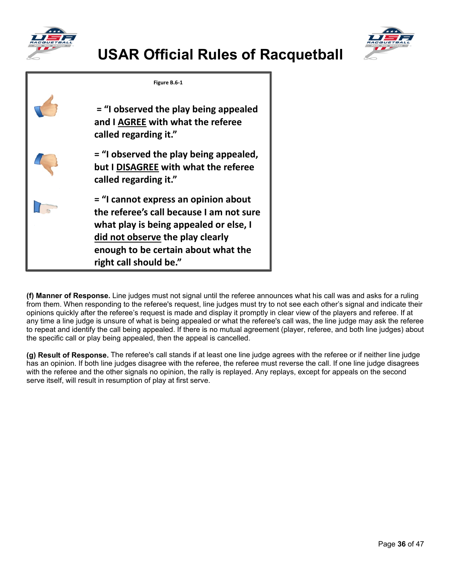





**(f) Manner of Response.** Line judges must not signal until the referee announces what his call was and asks for a ruling from them. When responding to the referee's request, line judges must try to not see each other's signal and indicate their opinions quickly after the referee's request is made and display it promptly in clear view of the players and referee. If at any time a line judge is unsure of what is being appealed or what the referee's call was, the line judge may ask the referee to repeat and identify the call being appealed. If there is no mutual agreement (player, referee, and both line judges) about the specific call or play being appealed, then the appeal is cancelled.

**(g) Result of Response.** The referee's call stands if at least one line judge agrees with the referee or if neither line judge has an opinion. If both line judges disagree with the referee, the referee must reverse the call. If one line judge disagrees with the referee and the other signals no opinion, the rally is replayed. Any replays, except for appeals on the second serve itself, will result in resumption of play at first serve.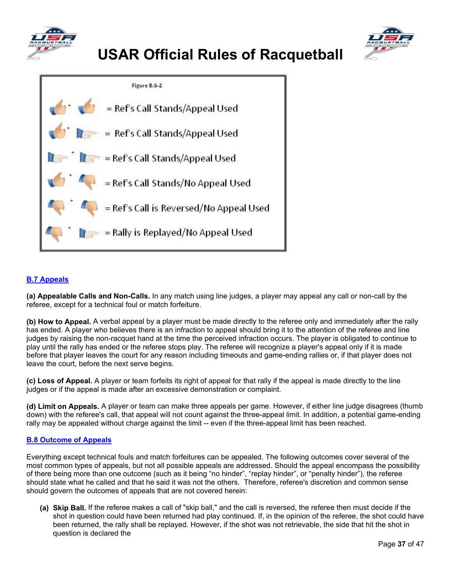





### <span id="page-38-0"></span>**B.7 Appeals**

**(a) Appealable Calls and Non-Calls.** In any match using line judges, a player may appeal any call or non-call by the referee, except for a technical foul or match forfeiture.

**(b) How to Appeal.** A verbal appeal by a player must be made directly to the referee only and immediately after the rally has ended. A player who believes there is an infraction to appeal should bring it to the attention of the referee and line judges by raising the non-racquet hand at the time the perceived infraction occurs. The player is obligated to continue to play until the rally has ended or the referee stops play. The referee will recognize a player's appeal only if it is made before that player leaves the court for any reason including timeouts and game-ending rallies or, if that player does not leave the court, before the next serve begins.

**(c) Loss of Appeal.** A player or team forfeits its right of appeal for that rally if the appeal is made directly to the line judges or if the appeal is made after an excessive demonstration or complaint.

**(d) Limit on Appeals.** A player or team can make three appeals per game. However, if either line judge disagrees (thumb down) with the referee's call, that appeal will not count against the three-appeal limit. In addition, a potential game-ending rally may be appealed without charge against the limit -- even if the three-appeal limit has been reached.

#### <span id="page-38-1"></span>**B.8 Outcome of Appeals**

Everything except technical fouls and match forfeitures can be appealed. The following outcomes cover several of the most common types of appeals, but not all possible appeals are addressed. Should the appeal encompass the possibility of there being more than one outcome (such as it being "no hinder", "replay hinder", or "penalty hinder"), the referee should state what he called and that he said it was not the others. Therefore, referee's discretion and common sense should govern the outcomes of appeals that are not covered herein:

**(a) Skip Ball.** If the referee makes a call of "skip ball," and the call is reversed, the referee then must decide if the shot in question could have been returned had play continued. If, in the opinion of the referee, the shot could have been returned, the rally shall be replayed. However, if the shot was not retrievable, the side that hit the shot in question is declared the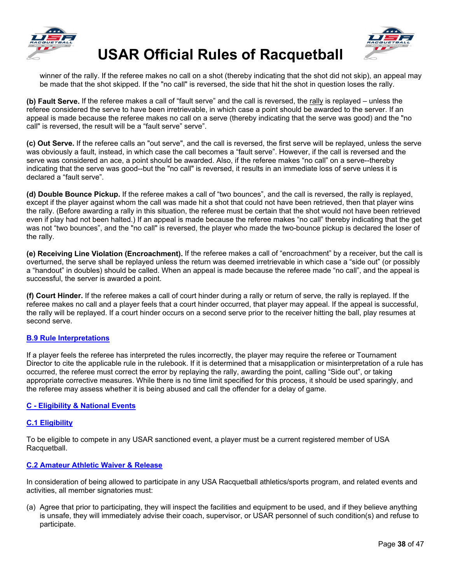



winner of the rally. If the referee makes no call on a shot (thereby indicating that the shot did not skip), an appeal may be made that the shot skipped. If the "no call" is reversed, the side that hit the shot in question loses the rally.

**(b) Fault Serve.** If the referee makes a call of "fault serve" and the call is reversed, the rally is replayed – unless the referee considered the serve to have been irretrievable, in which case a point should be awarded to the server. If an appeal is made because the referee makes no call on a serve (thereby indicating that the serve was good) and the "no call" is reversed, the result will be a "fault serve" serve".

**(c) Out Serve.** If the referee calls an "out serve", and the call is reversed, the first serve will be replayed, unless the serve was obviously a fault, instead, in which case the call becomes a "fault serve". However, if the call is reversed and the serve was considered an ace, a point should be awarded. Also, if the referee makes "no call" on a serve--thereby indicating that the serve was good--but the "no call" is reversed, it results in an immediate loss of serve unless it is declared a "fault serve".

**(d) Double Bounce Pickup.** If the referee makes a call of "two bounces", and the call is reversed, the rally is replayed, except if the player against whom the call was made hit a shot that could not have been retrieved, then that player wins the rally. (Before awarding a rally in this situation, the referee must be certain that the shot would not have been retrieved even if play had not been halted.) If an appeal is made because the referee makes "no call" thereby indicating that the get was not "two bounces", and the "no call" is reversed, the player who made the two-bounce pickup is declared the loser of the rally.

**(e) Receiving Line Violation (Encroachment).** If the referee makes a call of "encroachment" by a receiver, but the call is overturned, the serve shall be replayed unless the return was deemed irretrievable in which case a "side out" (or possibly a "handout" in doubles) should be called. When an appeal is made because the referee made "no call", and the appeal is successful, the server is awarded a point.

**(f) Court Hinder.** If the referee makes a call of court hinder during a rally or return of serve, the rally is replayed. If the referee makes no call and a player feels that a court hinder occurred, that player may appeal. If the appeal is successful, the rally will be replayed. If a court hinder occurs on a second serve prior to the receiver hitting the ball, play resumes at second serve.

#### <span id="page-39-0"></span>**B.9 Rule Interpretations**

If a player feels the referee has interpreted the rules incorrectly, the player may require the referee or Tournament Director to cite the applicable rule in the rulebook. If it is determined that a misapplication or misinterpretation of a rule has occurred, the referee must correct the error by replaying the rally, awarding the point, calling "Side out", or taking appropriate corrective measures. While there is no time limit specified for this process, it should be used sparingly, and the referee may assess whether it is being abused and call the offender for a delay of game.

#### <span id="page-39-1"></span>**C - Eligibility & National Events**

#### <span id="page-39-2"></span>**C.1 Eligibility**

To be eligible to compete in any USAR sanctioned event, a player must be a current registered member of USA Racquetball.

#### <span id="page-39-3"></span>**C.2 Amateur Athletic Waiver & Release**

In consideration of being allowed to participate in any USA Racquetball athletics/sports program, and related events and activities, all member signatories must:

(a) Agree that prior to participating, they will inspect the facilities and equipment to be used, and if they believe anything is unsafe, they will immediately advise their coach, supervisor, or USAR personnel of such condition(s) and refuse to participate.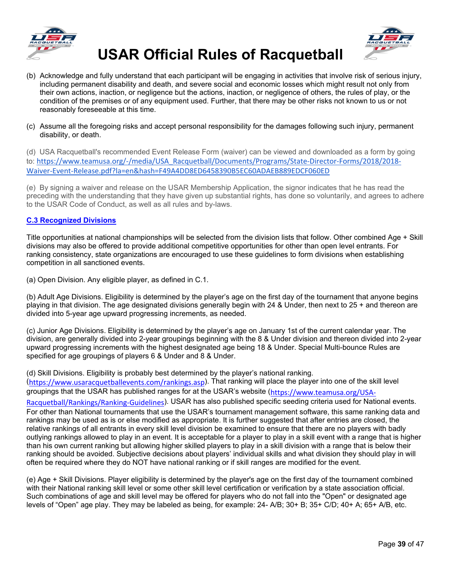



- (b) Acknowledge and fully understand that each participant will be engaging in activities that involve risk of serious injury, including permanent disability and death, and severe social and economic losses which might result not only from their own actions, inaction, or negligence but the actions, inaction, or negligence of others, the rules of play, or the condition of the premises or of any equipment used. Further, that there may be other risks not known to us or not reasonably foreseeable at this time.
- (c) Assume all the foregoing risks and accept personal responsibility for the damages following such injury, permanent disability, or death.

(d) USA Racquetball's recommended Event Release Form (waiver) can be viewed and downloaded as a form by going to: [https://www.teamusa.org/-/media/USA\\_Racquetball/Documents/Programs/State-Director-Forms/2018/2018-](https://www.teamusa.org/-/media/USA_Racquetball/Documents/Programs/State-Director-Forms/2018/2018-Waiver-Event-Release.pdf?la=en&hash=F49A4DD8ED6458390B5EC60ADAEB889EDCF060ED) [Waiver-Event-Release.pdf?la=en&hash=F49A4DD8ED6458390B5EC60ADAEB889EDCF060ED](https://www.teamusa.org/-/media/USA_Racquetball/Documents/Programs/State-Director-Forms/2018/2018-Waiver-Event-Release.pdf?la=en&hash=F49A4DD8ED6458390B5EC60ADAEB889EDCF060ED)

(e) By signing a waiver and release on the USAR Membership Application, the signor indicates that he has read the preceding with the understanding that they have given up substantial rights, has done so voluntarily, and agrees to adhere to the USAR Code of Conduct, as well as all rules and by-laws.

#### <span id="page-40-0"></span>**C.3 Recognized Divisions**

Title opportunities at national championships will be selected from the division lists that follow. Other combined Age + Skill divisions may also be offered to provide additional competitive opportunities for other than open level entrants. For ranking consistency, state organizations are encouraged to use these guidelines to form divisions when establishing competition in all sanctioned events.

(a) Open Division. Any eligible player, as defined in C.1.

(b) Adult Age Divisions. Eligibility is determined by the player's age on the first day of the tournament that anyone begins playing in that division. The age designated divisions generally begin with 24 & Under, then next to 25 + and thereon are divided into 5-year age upward progressing increments, as needed.

(c) Junior Age Divisions. Eligibility is determined by the player's age on January 1st of the current calendar year. The division, are generally divided into 2-year groupings beginning with the 8 & Under division and thereon divided into 2-year upward progressing increments with the highest designated age being 18 & Under. Special Multi-bounce Rules are specified for age groupings of players 6 & Under and 8 & Under.

(d) Skill Divisions. Eligibility is probably best determined by the player's national ranking. ([https://www.usaracquetballevents.com/rankings.asp](about:blank)). That ranking will place the player into one of the skill level

groupings that the USAR has published ranges for at the USAR's website ([https://www.teamusa.org/USA-](about:blank)

[Racquetball/Rankings/Ranking-Guidelines](about:blank)). USAR has also published specific seeding criteria used for National events. For other than National tournaments that use the USAR's tournament management software, this same ranking data and rankings may be used as is or else modified as appropriate. It is further suggested that after entries are closed, the relative rankings of all entrants in every skill level division be examined to ensure that there are no players with badly outlying rankings allowed to play in an event. It is acceptable for a player to play in a skill event with a range that is higher than his own current ranking but allowing higher skilled players to play in a skill division with a range that is below their ranking should be avoided. Subjective decisions about players' individual skills and what division they should play in will often be required where they do NOT have national ranking or if skill ranges are modified for the event.

<span id="page-40-1"></span>(e) Age + Skill Divisions. Player eligibility is determined by the player's age on the first day of the tournament combined with their National ranking skill level or some other skill level certification or verification by a state association official. Such combinations of age and skill level may be offered for players who do not fall into the "Open" or designated age levels of "Open" age play. They may be labeled as being, for example: 24- A/B; 30+ B; 35+ C/D; 40+ A; 65+ A/B, etc.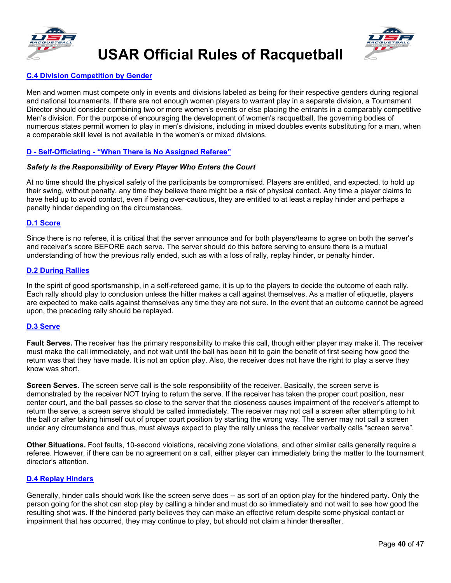





#### **C.4 Division Competition by Gender**

Men and women must compete only in events and divisions labeled as being for their respective genders during regional and national tournaments. If there are not enough women players to warrant play in a separate division, a Tournament Director should consider combining two or more women's events or else placing the entrants in a comparably competitive Men's division. For the purpose of encouraging the development of women's racquetball, the governing bodies of numerous states permit women to play in men's divisions, including in mixed doubles events substituting for a man, when a comparable skill level is not available in the women's or mixed divisions.

#### <span id="page-41-0"></span>**D - Self-Officiating - "When There is No Assigned Referee"**

#### *Safety Is the Responsibility of Every Player Who Enters the Court*

At no time should the physical safety of the participants be compromised. Players are entitled, and expected, to hold up their swing, without penalty, any time they believe there might be a risk of physical contact. Any time a player claims to have held up to avoid contact, even if being over-cautious, they are entitled to at least a replay hinder and perhaps a penalty hinder depending on the circumstances.

#### <span id="page-41-1"></span>**D.1 Score**

Since there is no referee, it is critical that the server announce and for both players/teams to agree on both the server's and receiver's score BEFORE each serve. The server should do this before serving to ensure there is a mutual understanding of how the previous rally ended, such as with a loss of rally, replay hinder, or penalty hinder.

#### <span id="page-41-2"></span>**D.2 During Rallies**

In the spirit of good sportsmanship, in a self-refereed game, it is up to the players to decide the outcome of each rally. Each rally should play to conclusion unless the hitter makes a call against themselves. As a matter of etiquette, players are expected to make calls against themselves any time they are not sure. In the event that an outcome cannot be agreed upon, the preceding rally should be replayed.

#### <span id="page-41-3"></span>**D.3 Serve**

**Fault Serves.** The receiver has the primary responsibility to make this call, though either player may make it. The receiver must make the call immediately, and not wait until the ball has been hit to gain the benefit of first seeing how good the return was that they have made. It is not an option play. Also, the receiver does not have the right to play a serve they know was short.

**Screen Serves.** The screen serve call is the sole responsibility of the receiver. Basically, the screen serve is demonstrated by the receiver NOT trying to return the serve. If the receiver has taken the proper court position, near center court, and the ball passes so close to the server that the closeness causes impairment of the receiver's attempt to return the serve, a screen serve should be called immediately. The receiver may not call a screen after attempting to hit the ball or after taking himself out of proper court position by starting the wrong way. The server may not call a screen under any circumstance and thus, must always expect to play the rally unless the receiver verbally calls "screen serve".

**Other Situations.** Foot faults, 10-second violations, receiving zone violations, and other similar calls generally require a referee. However, if there can be no agreement on a call, either player can immediately bring the matter to the tournament director's attention.

#### <span id="page-41-4"></span>**D.4 Replay Hinders**

<span id="page-41-5"></span>Generally, hinder calls should work like the screen serve does -- as sort of an option play for the hindered party. Only the person going for the shot can stop play by calling a hinder and must do so immediately and not wait to see how good the resulting shot was. If the hindered party believes they can make an effective return despite some physical contact or impairment that has occurred, they may continue to play, but should not claim a hinder thereafter.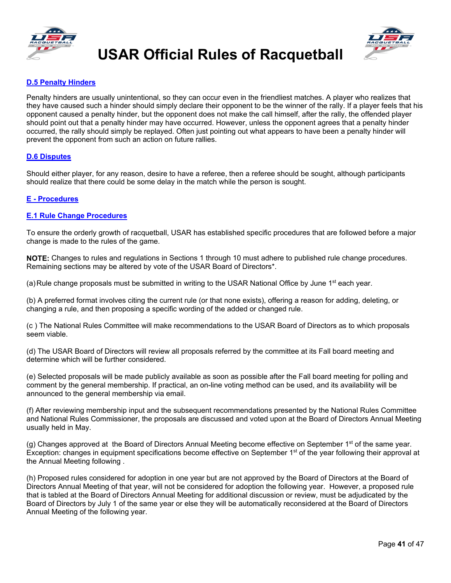



#### **D.5 Penalty Hinders**

Penalty hinders are usually unintentional, so they can occur even in the friendliest matches. A player who realizes that they have caused such a hinder should simply declare their opponent to be the winner of the rally. If a player feels that his opponent caused a penalty hinder, but the opponent does not make the call himself, after the rally, the offended player should point out that a penalty hinder may have occurred. However, unless the opponent agrees that a penalty hinder occurred, the rally should simply be replayed. Often just pointing out what appears to have been a penalty hinder will prevent the opponent from such an action on future rallies.

#### <span id="page-42-0"></span>**D.6 Disputes**

Should either player, for any reason, desire to have a referee, then a referee should be sought, although participants should realize that there could be some delay in the match while the person is sought.

#### <span id="page-42-1"></span>**E - Procedures**

#### <span id="page-42-2"></span>**E.1 Rule Change Procedures**

To ensure the orderly growth of racquetball, USAR has established specific procedures that are followed before a major change is made to the rules of the game.

**NOTE:** Changes to rules and regulations in Sections 1 through 10 must adhere to published rule change procedures. Remaining sections may be altered by vote of the USAR Board of Directors\*.

(a) Rule change proposals must be submitted in writing to the USAR National Office by June  $1<sup>st</sup>$  each year.

(b) A preferred format involves citing the current rule (or that none exists), offering a reason for adding, deleting, or changing a rule, and then proposing a specific wording of the added or changed rule.

(c ) The National Rules Committee will make recommendations to the USAR Board of Directors as to which proposals seem viable.

(d) The USAR Board of Directors will review all proposals referred by the committee at its Fall board meeting and determine which will be further considered.

(e) Selected proposals will be made publicly available as soon as possible after the Fall board meeting for polling and comment by the general membership. If practical, an on-line voting method can be used, and its availability will be announced to the general membership via email.

(f) After reviewing membership input and the subsequent recommendations presented by the National Rules Committee and National Rules Commissioner, the proposals are discussed and voted upon at the Board of Directors Annual Meeting usually held in May.

(g) Changes approved at the Board of Directors Annual Meeting become effective on September  $1<sup>st</sup>$  of the same year. Exception: changes in equipment specifications become effective on September 1<sup>st</sup> of the year following their approval at the Annual Meeting following .

(h) Proposed rules considered for adoption in one year but are not approved by the Board of Directors at the Board of Directors Annual Meeting of that year, will not be considered for adoption the following year. However, a proposed rule that is tabled at the Board of Directors Annual Meeting for additional discussion or review, must be adjudicated by the Board of Directors by July 1 of the same year or else they will be automatically reconsidered at the Board of Directors Annual Meeting of the following year.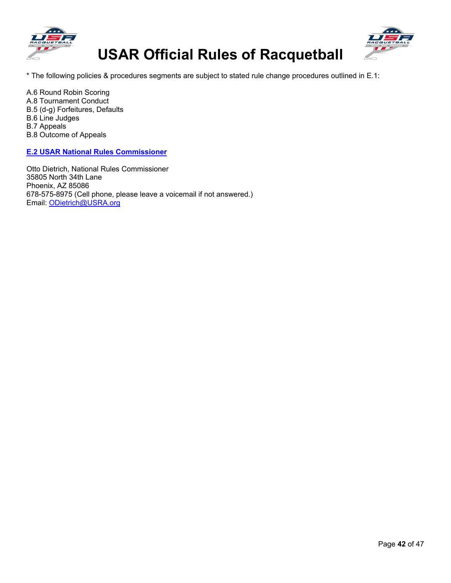



\* The following policies & procedures segments are subject to stated rule change procedures outlined in E.1:

A.6 Round Robin Scoring A.8 Tournament Conduct B.5 (d-g) Forfeitures, Defaults B.6 Line Judges B.7 Appeals B.8 Outcome of Appeals

<span id="page-43-0"></span>**E.2 USAR National Rules Commissioner**

Otto Dietrich, National Rules Commissioner 35805 North 34th Lane Phoenix, AZ 85086 678-575-8975 (Cell phone, please leave a voicemail if not answered.) Email: [ODietrich@USRA.org](about:blank)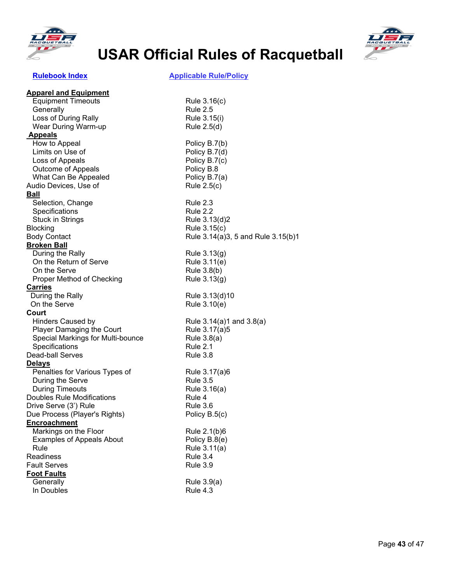



### <span id="page-44-0"></span> **[Rulebook Index](#page-4-0) Applicable Rule/Policy**

| <b>Apparel and Equipment</b>      |                                    |
|-----------------------------------|------------------------------------|
| <b>Equipment Timeouts</b>         | Rule 3.16(c)                       |
| Generally                         | <b>Rule 2.5</b>                    |
| Loss of During Rally              | Rule 3.15(i)                       |
| Wear During Warm-up               | Rule 2.5(d)                        |
| <b>Appeals</b>                    |                                    |
| How to Appeal                     | Policy B.7(b)                      |
| Limits on Use of                  | Policy B.7(d)                      |
| Loss of Appeals                   | Policy B.7(c)                      |
| Outcome of Appeals                | Policy B.8                         |
| What Can Be Appealed              | Policy B.7(a)                      |
| Audio Devices, Use of             | Rule 2.5(c)                        |
| <b>Ball</b>                       |                                    |
| Selection, Change                 | <b>Rule 2.3</b>                    |
| Specifications                    | <b>Rule 2.2</b>                    |
| <b>Stuck in Strings</b>           | Rule 3.13(d)2                      |
| <b>Blocking</b>                   | Rule 3.15(c)                       |
| <b>Body Contact</b>               | Rule 3.14(a)3, 5 and Rule 3.15(b)1 |
| <b>Broken Ball</b>                |                                    |
| During the Rally                  | Rule 3.13(g)                       |
| On the Return of Serve            | Rule 3.11(e)                       |
| On the Serve                      | Rule 3.8(b)                        |
| Proper Method of Checking         | Rule 3.13(g)                       |
| <b>Carries</b>                    |                                    |
| During the Rally                  | Rule 3.13(d)10                     |
| On the Serve                      | Rule 3.10(e)                       |
| Court                             |                                    |
| <b>Hinders Caused by</b>          | Rule $3.14(a)1$ and $3.8(a)$       |
| <b>Player Damaging the Court</b>  | Rule 3.17(a)5                      |
| Special Markings for Multi-bounce | Rule 3.8(a)                        |
| Specifications                    | Rule 2.1                           |
| Dead-ball Serves                  | <b>Rule 3.8</b>                    |
| <b>Delays</b>                     |                                    |
| Penalties for Various Types of    | Rule 3.17(a)6                      |
| During the Serve                  | <b>Rule 3.5</b>                    |
| <b>During Timeouts</b>            | Rule 3.16(a)                       |
| Doubles Rule Modifications        | Rule 4                             |
| Drive Serve (3') Rule             | <b>Rule 3.6</b>                    |
| Due Process (Player's Rights)     | Policy B.5(c)                      |
| <b>Encroachment</b>               |                                    |
| Markings on the Floor             | Rule 2.1(b)6                       |
| <b>Examples of Appeals About</b>  | Policy B.8(e)                      |
| Rule                              | Rule 3.11(a)                       |
| Readiness                         | Rule 3.4                           |
| <b>Fault Serves</b>               | <b>Rule 3.9</b>                    |
| <b>Foot Faults</b>                |                                    |
| Generally                         | Rule 3.9(a)                        |
| In Doubles                        | Rule 4.3                           |
|                                   |                                    |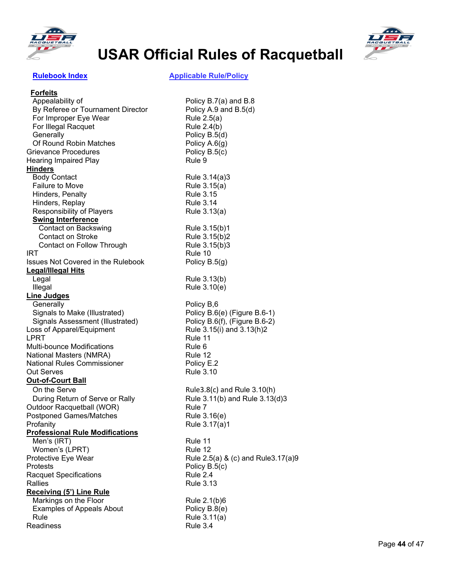



 **[Rulebook Index](#page-4-0) Applicable Rule/Policy**

| <b>Forfeits</b>                           |                                    |
|-------------------------------------------|------------------------------------|
| Appealability of                          | Policy B.7(a) and B.8              |
| By Referee or Tournament Director         | Policy A.9 and B.5(d)              |
| For Improper Eye Wear                     | Rule 2.5(a)                        |
| For Illegal Racquet                       | Rule 2.4(b)                        |
| Generally                                 | Policy B.5(d)                      |
| Of Round Robin Matches                    | Policy $A.6(g)$                    |
| Grievance Procedures                      | Policy B.5(c)                      |
| <b>Hearing Impaired Play</b>              | Rule 9                             |
| <b>Hinders</b>                            |                                    |
| <b>Body Contact</b>                       | Rule 3.14(a)3                      |
| <b>Failure to Move</b>                    | Rule 3.15(a)                       |
| Hinders, Penalty                          | <b>Rule 3.15</b>                   |
| Hinders, Replay                           | <b>Rule 3.14</b>                   |
| Responsibility of Players                 | Rule 3.13(a)                       |
| <b>Swing Interference</b>                 |                                    |
| Contact on Backswing                      | Rule 3.15(b)1                      |
| <b>Contact on Stroke</b>                  | Rule 3.15(b)2                      |
| Contact on Follow Through                 | Rule 3.15(b)3                      |
| IRT                                       | Rule 10                            |
| <b>Issues Not Covered in the Rulebook</b> | Policy B.5(g)                      |
| <b>Legal/Illegal Hits</b>                 |                                    |
| Legal                                     | Rule 3.13(b)                       |
| Illegal                                   | Rule 3.10(e)                       |
| <b>Line Judges</b>                        |                                    |
| Generally                                 | Policy B,6                         |
| Signals to Make (Illustrated)             | Policy B.6(e) (Figure B.6-1)       |
| Signals Assessment (Illustrated)          | Policy B.6(f), (Figure B.6-2)      |
| Loss of Apparel/Equipment                 | Rule 3.15(i) and 3.13(h)2          |
| LPRT                                      | Rule 11                            |
| Multi-bounce Modifications                | Rule 6                             |
| National Masters (NMRA)                   | Rule 12                            |
| <b>National Rules Commissioner</b>        | Policy E.2                         |
| <b>Out Serves</b>                         | <b>Rule 3.10</b>                   |
| <b>Out-of-Court Ball</b>                  |                                    |
| On the Serve                              | Rule3.8(c) and Rule 3.10(h)        |
| During Return of Serve or Rally           | Rule 3.11(b) and Rule 3.13(d)3     |
| Outdoor Racquetball (WOR)                 | Rule 7                             |
| <b>Postponed Games/Matches</b>            | Rule 3.16(e)                       |
| Profanity                                 | Rule 3.17(a)1                      |
| <b>Professional Rule Modifications</b>    |                                    |
| Men's (IRT)                               | Rule 11                            |
| Women's (LPRT)                            | Rule 12                            |
| Protective Eye Wear                       | Rule 2.5(a) & (c) and Rule3.17(a)9 |
| <b>Protests</b>                           | Policy B.5(c)                      |
| <b>Racquet Specifications</b>             | Rule 2.4                           |
| <b>Rallies</b>                            | <b>Rule 3.13</b>                   |
| <b>Receiving (5') Line Rule</b>           |                                    |
| Markings on the Floor                     |                                    |
|                                           | Rule 2.1(b)6                       |
| <b>Examples of Appeals About</b><br>Rule  | Policy B.8(e)<br>Rule 3.11(a)      |
| Readiness                                 | Rule 3.4                           |
|                                           |                                    |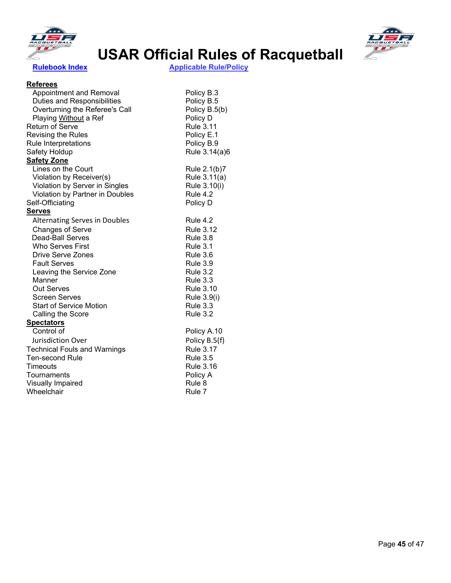



 **[Rulebook Index](#page-4-0) Applicable Rule/Policy** 

#### **Referees**

| Appointment and Removal              | Policy B.3       |
|--------------------------------------|------------------|
| Duties and Responsibilities          | Policy B.5       |
| Overturning the Referee's Call       | Policy B.5(b)    |
| Playing Without a Ref                | Policy D         |
| <b>Return of Serve</b>               | <b>Rule 3.11</b> |
| <b>Revising the Rules</b>            | Policy E.1       |
| Rule Interpretations                 | Policy B.9       |
| Safety Holdup                        | Rule 3.14(a)6    |
| <b>Safety Zone</b>                   |                  |
| Lines on the Court                   | Rule 2.1(b)7     |
| Violation by Receiver(s)             | Rule 3.11(a)     |
| Violation by Server in Singles       | Rule 3.10(i)     |
| Violation by Partner in Doubles      | <b>Rule 4.2</b>  |
| Self-Officiating                     | Policy D         |
| <u>Serves</u>                        |                  |
| <b>Alternating Serves in Doubles</b> | <b>Rule 4.2</b>  |
| <b>Changes of Serve</b>              | <b>Rule 3.12</b> |
| <b>Dead-Ball Serves</b>              | <b>Rule 3.8</b>  |
| <b>Who Serves First</b>              | <b>Rule 3.1</b>  |
| Drive Serve Zones                    | <b>Rule 3.6</b>  |
| <b>Fault Serves</b>                  | <b>Rule 3.9</b>  |
| Leaving the Service Zone             | <b>Rule 3.2</b>  |
| Manner                               | <b>Rule 3.3</b>  |
| Out Serves                           | <b>Rule 3.10</b> |
| <b>Screen Serves</b>                 | Rule 3.9(i)      |
| <b>Start of Service Motion</b>       | <b>Rule 3.3</b>  |
| Calling the Score                    | <b>Rule 3.2</b>  |
| <b>Spectators</b>                    |                  |
| Control of                           | Policy A.10      |
| Jurisdiction Over                    | Policy B.5(f)    |
| <b>Technical Fouls and Warnings</b>  | <b>Rule 3.17</b> |
| <b>Ten-second Rule</b>               | <b>Rule 3.5</b>  |
| Timeouts                             | <b>Rule 3.16</b> |
| Tournaments                          | Policy A         |
| <b>Visually Impaired</b>             | Rule 8           |
| Wheelchair                           | Rule 7           |